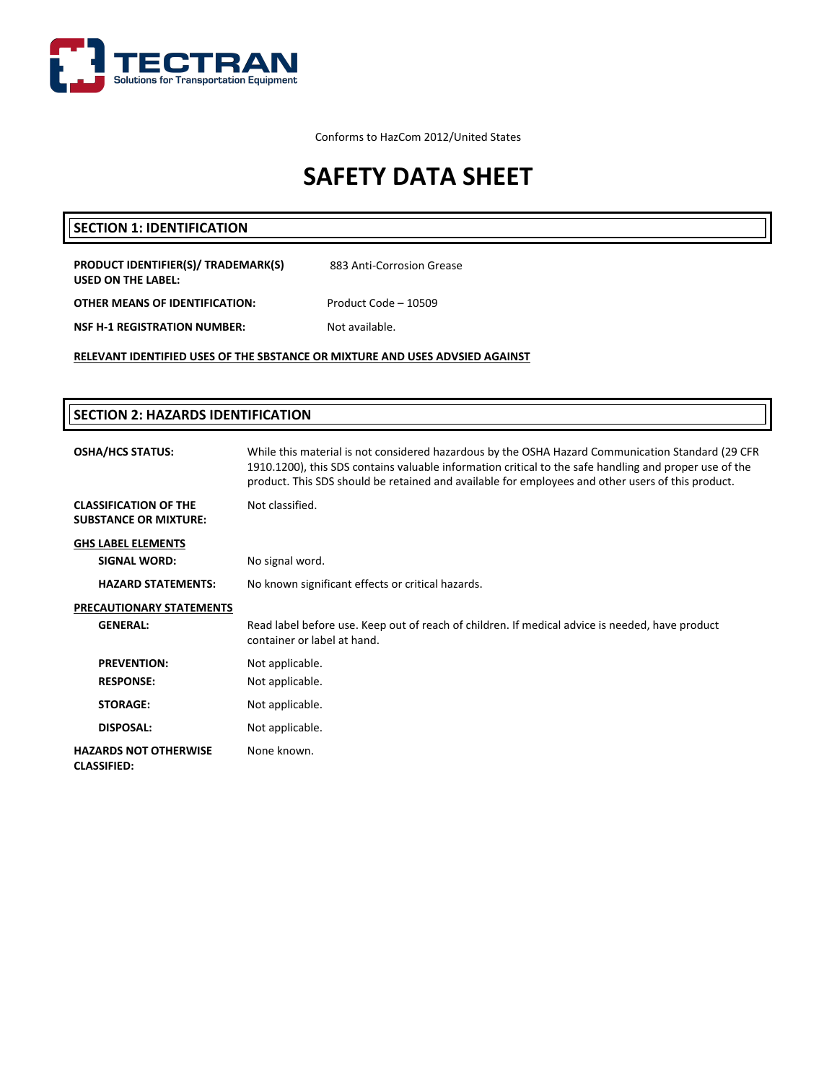

Conforms to HazCom 2012/United States

# **SAFETY DATA SHEET**

### **SECTION 1: IDENTIFICATION**

| PRODUCT IDENTIFIER(S)/ TRADEMARK(S)<br>USED ON THE LABEL: | 883 Anti-Corrosion Grease |
|-----------------------------------------------------------|---------------------------|
| OTHER MEANS OF IDENTIFICATION:                            | Product Code - 10509      |
| NSF H-1 REGISTRATION NUMBER:                              | Not available.            |
|                                                           |                           |

**RELEVANT IDENTIFIED USES OF THE SBSTANCE OR MIXTURE AND USES ADVSIED AGAINST**

| <b>SECTION 2: HAZARDS IDENTIFICATION</b>                     |                                                                                                                                                                                                                                                                                                                  |  |
|--------------------------------------------------------------|------------------------------------------------------------------------------------------------------------------------------------------------------------------------------------------------------------------------------------------------------------------------------------------------------------------|--|
| <b>OSHA/HCS STATUS:</b>                                      | While this material is not considered hazardous by the OSHA Hazard Communication Standard (29 CFR<br>1910.1200), this SDS contains valuable information critical to the safe handling and proper use of the<br>product. This SDS should be retained and available for employees and other users of this product. |  |
| <b>CLASSIFICATION OF THE</b><br><b>SUBSTANCE OR MIXTURE:</b> | Not classified.                                                                                                                                                                                                                                                                                                  |  |
| <b>GHS LABEL ELEMENTS</b>                                    |                                                                                                                                                                                                                                                                                                                  |  |
| <b>SIGNAL WORD:</b>                                          | No signal word.                                                                                                                                                                                                                                                                                                  |  |
| <b>HAZARD STATEMENTS:</b>                                    | No known significant effects or critical hazards.                                                                                                                                                                                                                                                                |  |
| <b>PRECAUTIONARY STATEMENTS</b>                              |                                                                                                                                                                                                                                                                                                                  |  |
| <b>GENERAL:</b>                                              | Read label before use. Keep out of reach of children. If medical advice is needed, have product<br>container or label at hand.                                                                                                                                                                                   |  |
| <b>PREVENTION:</b>                                           | Not applicable.                                                                                                                                                                                                                                                                                                  |  |
| <b>RESPONSE:</b>                                             | Not applicable.                                                                                                                                                                                                                                                                                                  |  |
| <b>STORAGE:</b>                                              | Not applicable.                                                                                                                                                                                                                                                                                                  |  |
| DISPOSAL:                                                    | Not applicable.                                                                                                                                                                                                                                                                                                  |  |
| <b>HAZARDS NOT OTHERWISE</b><br><b>CLASSIFIED:</b>           | None known.                                                                                                                                                                                                                                                                                                      |  |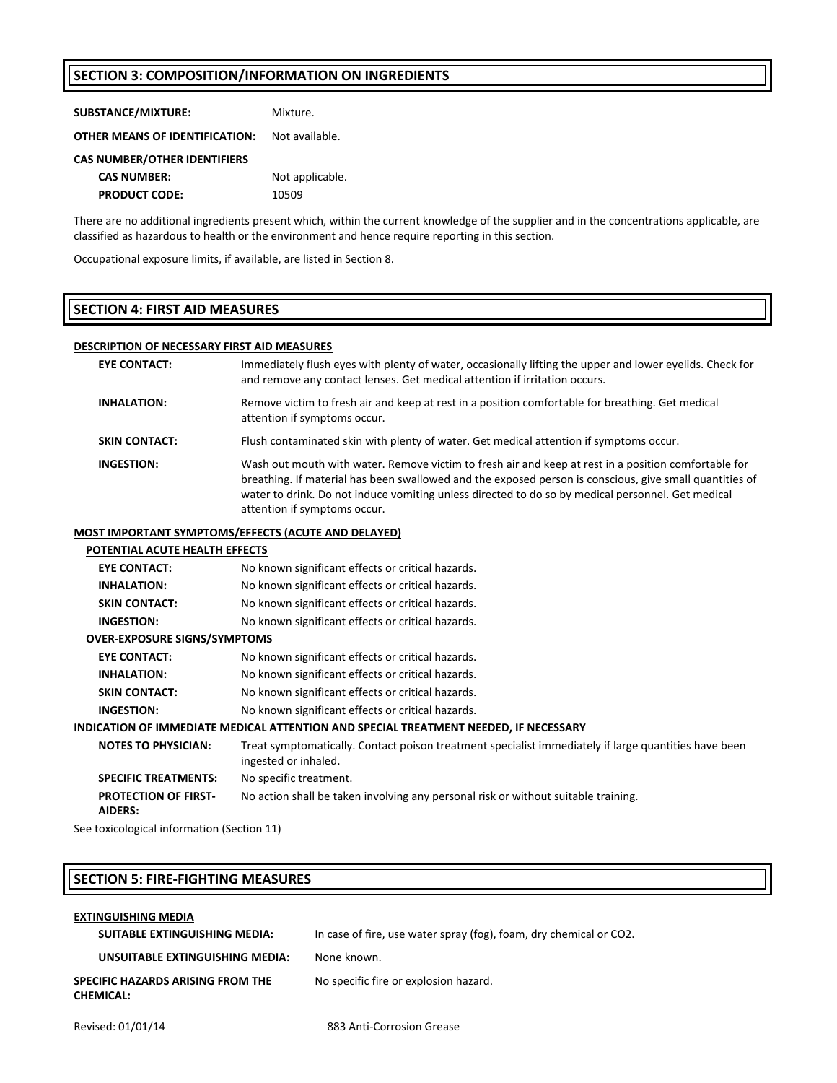#### **SECTION 3: COMPOSITION/INFORMATION ON INGREDIENTS**

| Mixture. |
|----------|
|          |

**OTHER MEANS OF IDENTIFICATION:** Not available.

#### **CAS NUMBER/OTHER IDENTIFIERS**

| <b>CAS NUMBER:</b>   | Not applicable. |  |
|----------------------|-----------------|--|
| <b>PRODUCT CODE:</b> | 10509           |  |

There are no additional ingredients present which, within the current knowledge of the supplier and in the concentrations applicable, are classified as hazardous to health or the environment and hence require reporting in this section.

Occupational exposure limits, if available, are listed in Section 8.

#### **SECTION 4: FIRST AID MEASURES**

#### **DESCRIPTION OF NECESSARY FIRST AID MEASURES**

| <b>EYE CONTACT:</b>  | Immediately flush eyes with plenty of water, occasionally lifting the upper and lower eyelids. Check for<br>and remove any contact lenses. Get medical attention if irritation occurs.                                                                                                                                                               |
|----------------------|------------------------------------------------------------------------------------------------------------------------------------------------------------------------------------------------------------------------------------------------------------------------------------------------------------------------------------------------------|
| <b>INHALATION:</b>   | Remove victim to fresh air and keep at rest in a position comfortable for breathing. Get medical<br>attention if symptoms occur.                                                                                                                                                                                                                     |
| <b>SKIN CONTACT:</b> | Flush contaminated skin with plenty of water. Get medical attention if symptoms occur.                                                                                                                                                                                                                                                               |
| INGESTION:           | Wash out mouth with water. Remove victim to fresh air and keep at rest in a position comfortable for<br>breathing. If material has been swallowed and the exposed person is conscious, give small quantities of<br>water to drink. Do not induce vomiting unless directed to do so by medical personnel. Get medical<br>attention if symptoms occur. |

#### **MOST IMPORTANT SYMPTOMS/EFFECTS (ACUTE AND DELAYED)**

#### **POTENTIAL ACUTE HEALTH EFFECTS**

| <b>EYE CONTACT:</b>                                                                  | No known significant effects or critical hazards.                                                                            |  |  |
|--------------------------------------------------------------------------------------|------------------------------------------------------------------------------------------------------------------------------|--|--|
| <b>INHALATION:</b>                                                                   | No known significant effects or critical hazards.                                                                            |  |  |
| <b>SKIN CONTACT:</b>                                                                 | No known significant effects or critical hazards.                                                                            |  |  |
| <b>INGESTION:</b>                                                                    | No known significant effects or critical hazards.                                                                            |  |  |
| <b>OVER-EXPOSURE SIGNS/SYMPTOMS</b>                                                  |                                                                                                                              |  |  |
| <b>EYE CONTACT:</b>                                                                  | No known significant effects or critical hazards.                                                                            |  |  |
| <b>INHALATION:</b>                                                                   | No known significant effects or critical hazards.                                                                            |  |  |
| <b>SKIN CONTACT:</b>                                                                 | No known significant effects or critical hazards.                                                                            |  |  |
| <b>INGESTION:</b>                                                                    | No known significant effects or critical hazards.                                                                            |  |  |
| INDICATION OF IMMEDIATE MEDICAL ATTENTION AND SPECIAL TREATMENT NEEDED, IF NECESSARY |                                                                                                                              |  |  |
| <b>NOTES TO PHYSICIAN:</b>                                                           | Treat symptomatically. Contact poison treatment specialist immediately if large quantities have been<br>ingested or inhaled. |  |  |
| <b>SPECIFIC TREATMENTS:</b>                                                          | No specific treatment.                                                                                                       |  |  |
| <b>PROTECTION OF FIRST-</b><br><b>AIDERS:</b>                                        | No action shall be taken involving any personal risk or without suitable training.                                           |  |  |

See toxicological information (Section 11)

### **SECTION 5: FIRE‐FIGHTING MEASURES**

| <b>EXTINGUISHING MEDIA</b>                                   |                                                                    |
|--------------------------------------------------------------|--------------------------------------------------------------------|
| SUITABLE EXTINGUISHING MEDIA:                                | In case of fire, use water spray (fog), foam, dry chemical or CO2. |
| UNSUITABLE EXTINGUISHING MEDIA:                              | None known.                                                        |
| <b>SPECIFIC HAZARDS ARISING FROM THE</b><br><b>CHEMICAL:</b> | No specific fire or explosion hazard.                              |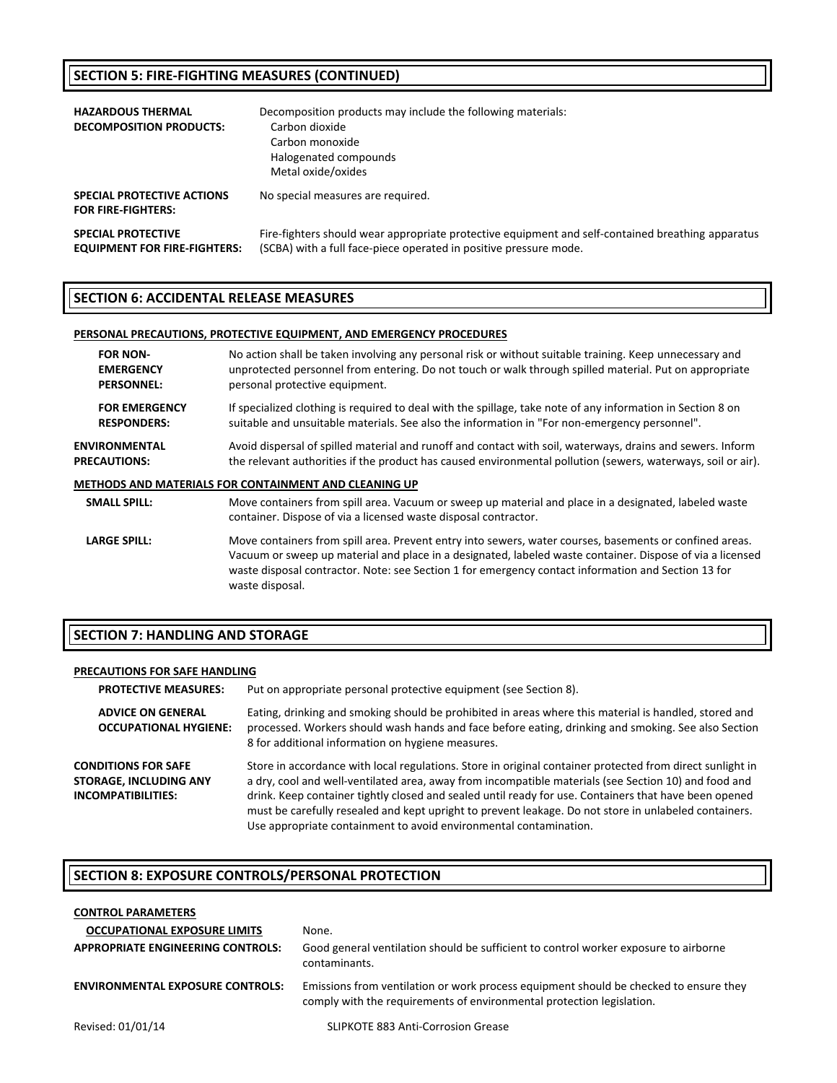### **SECTION 5: FIRE‐FIGHTING MEASURES (CONTINUED)**

| <b>HAZARDOUS THERMAL</b><br><b>DECOMPOSITION PRODUCTS:</b>       | Decomposition products may include the following materials:<br>Carbon dioxide<br>Carbon monoxide<br>Halogenated compounds<br>Metal oxide/oxides                        |
|------------------------------------------------------------------|------------------------------------------------------------------------------------------------------------------------------------------------------------------------|
| SPECIAL PROTECTIVE ACTIONS<br><b>FOR FIRE-FIGHTERS:</b>          | No special measures are required.                                                                                                                                      |
| <b>SPECIAL PROTECTIVE</b><br><b>EQUIPMENT FOR FIRE-FIGHTERS:</b> | Fire-fighters should wear appropriate protective equipment and self-contained breathing apparatus<br>(SCBA) with a full face-piece operated in positive pressure mode. |

#### **SECTION 6: ACCIDENTAL RELEASE MEASURES**

#### **PERSONAL PRECAUTIONS, PROTECTIVE EQUIPMENT, AND EMERGENCY PROCEDURES**

| <b>FOR NON-</b>      | No action shall be taken involving any personal risk or without suitable training. Keep unnecessary and                                                                                                                                                                                                                                        |
|----------------------|------------------------------------------------------------------------------------------------------------------------------------------------------------------------------------------------------------------------------------------------------------------------------------------------------------------------------------------------|
| <b>EMERGENCY</b>     | unprotected personnel from entering. Do not touch or walk through spilled material. Put on appropriate                                                                                                                                                                                                                                         |
| <b>PERSONNEL:</b>    | personal protective equipment.                                                                                                                                                                                                                                                                                                                 |
| <b>FOR EMERGENCY</b> | If specialized clothing is required to deal with the spillage, take note of any information in Section 8 on                                                                                                                                                                                                                                    |
| <b>RESPONDERS:</b>   | suitable and unsuitable materials. See also the information in "For non-emergency personnel".                                                                                                                                                                                                                                                  |
| <b>ENVIRONMENTAL</b> | Avoid dispersal of spilled material and runoff and contact with soil, waterways, drains and sewers. Inform                                                                                                                                                                                                                                     |
| <b>PRECAUTIONS:</b>  | the relevant authorities if the product has caused environmental pollution (sewers, waterways, soil or air).                                                                                                                                                                                                                                   |
|                      | METHODS AND MATERIALS FOR CONTAINMENT AND CLEANING UP                                                                                                                                                                                                                                                                                          |
| <b>SMALL SPILL:</b>  | Move containers from spill area. Vacuum or sweep up material and place in a designated, labeled waste<br>container. Dispose of via a licensed waste disposal contractor.                                                                                                                                                                       |
| <b>LARGE SPILL:</b>  | Move containers from spill area. Prevent entry into sewers, water courses, basements or confined areas.<br>Vacuum or sweep up material and place in a designated, labeled waste container. Dispose of via a licensed<br>waste disposal contractor. Note: see Section 1 for emergency contact information and Section 13 for<br>waste disposal. |

#### **SECTION 7: HANDLING AND STORAGE**

#### **PRECAUTIONS FOR SAFE HANDLING**

| <b>PROTECTIVE MEASURES:</b>                                                       | Put on appropriate personal protective equipment (see Section 8).                                                                                                                                                                                                                                                                                                                                                                                                                                        |
|-----------------------------------------------------------------------------------|----------------------------------------------------------------------------------------------------------------------------------------------------------------------------------------------------------------------------------------------------------------------------------------------------------------------------------------------------------------------------------------------------------------------------------------------------------------------------------------------------------|
| <b>ADVICE ON GENERAL</b><br><b>OCCUPATIONAL HYGIENE:</b>                          | Eating, drinking and smoking should be prohibited in areas where this material is handled, stored and<br>processed. Workers should wash hands and face before eating, drinking and smoking. See also Section<br>8 for additional information on hygiene measures.                                                                                                                                                                                                                                        |
| <b>CONDITIONS FOR SAFE</b><br><b>STORAGE, INCLUDING ANY</b><br>INCOMPATIBILITIES: | Store in accordance with local regulations. Store in original container protected from direct sunlight in<br>a dry, cool and well-ventilated area, away from incompatible materials (see Section 10) and food and<br>drink. Keep container tightly closed and sealed until ready for use. Containers that have been opened<br>must be carefully resealed and kept upright to prevent leakage. Do not store in unlabeled containers.<br>Use appropriate containment to avoid environmental contamination. |

#### **SECTION 8: EXPOSURE CONTROLS/PERSONAL PROTECTION**

| <b>CONTROL PARAMETERS</b>               |                                                                                                                                                                |
|-----------------------------------------|----------------------------------------------------------------------------------------------------------------------------------------------------------------|
| <b>OCCUPATIONAL EXPOSURE LIMITS</b>     | None.                                                                                                                                                          |
| APPROPRIATE ENGINEERING CONTROLS:       | Good general ventilation should be sufficient to control worker exposure to airborne<br>contaminants.                                                          |
| <b>ENVIRONMENTAL EXPOSURE CONTROLS:</b> | Emissions from ventilation or work process equipment should be checked to ensure they<br>comply with the requirements of environmental protection legislation. |
| Revised: 01/01/14                       | <b>SLIPKOTE 883 Anti-Corrosion Grease</b>                                                                                                                      |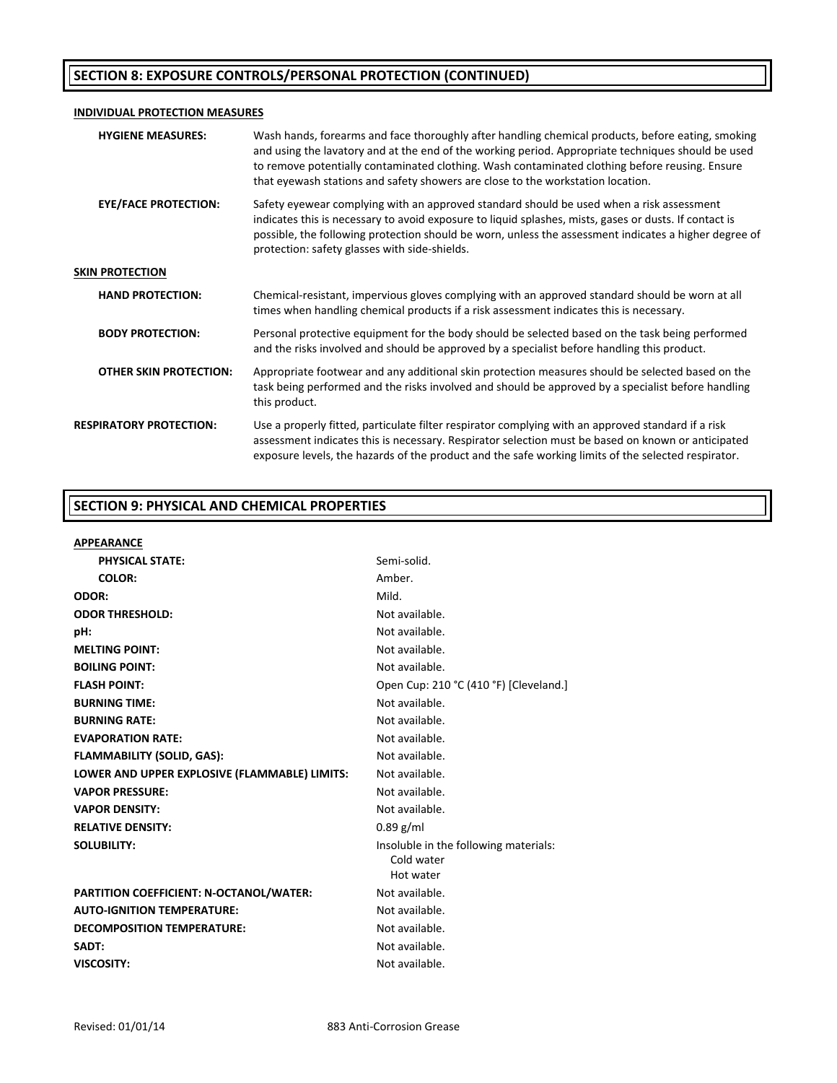### **SECTION 8: EXPOSURE CONTROLS/PERSONAL PROTECTION (CONTINUED)**

#### **INDIVIDUAL PROTECTION MEASURES**

| <b>HYGIENE MEASURES:</b>       | Wash hands, forearms and face thoroughly after handling chemical products, before eating, smoking<br>and using the lavatory and at the end of the working period. Appropriate techniques should be used<br>to remove potentially contaminated clothing. Wash contaminated clothing before reusing. Ensure<br>that eyewash stations and safety showers are close to the workstation location. |
|--------------------------------|----------------------------------------------------------------------------------------------------------------------------------------------------------------------------------------------------------------------------------------------------------------------------------------------------------------------------------------------------------------------------------------------|
| <b>EYE/FACE PROTECTION:</b>    | Safety eyewear complying with an approved standard should be used when a risk assessment<br>indicates this is necessary to avoid exposure to liquid splashes, mists, gases or dusts. If contact is<br>possible, the following protection should be worn, unless the assessment indicates a higher degree of<br>protection: safety glasses with side-shields.                                 |
| <b>SKIN PROTECTION</b>         |                                                                                                                                                                                                                                                                                                                                                                                              |
| <b>HAND PROTECTION:</b>        | Chemical-resistant, impervious gloves complying with an approved standard should be worn at all<br>times when handling chemical products if a risk assessment indicates this is necessary.                                                                                                                                                                                                   |
| <b>BODY PROTECTION:</b>        | Personal protective equipment for the body should be selected based on the task being performed<br>and the risks involved and should be approved by a specialist before handling this product.                                                                                                                                                                                               |
| <b>OTHER SKIN PROTECTION:</b>  | Appropriate footwear and any additional skin protection measures should be selected based on the<br>task being performed and the risks involved and should be approved by a specialist before handling<br>this product.                                                                                                                                                                      |
| <b>RESPIRATORY PROTECTION:</b> | Use a properly fitted, particulate filter respirator complying with an approved standard if a risk<br>assessment indicates this is necessary. Respirator selection must be based on known or anticipated<br>exposure levels, the hazards of the product and the safe working limits of the selected respirator.                                                                              |

#### **SECTION 9: PHYSICAL AND CHEMICAL PROPERTIES**

| <b>APPEARANCE</b>                             |                                        |
|-----------------------------------------------|----------------------------------------|
| <b>PHYSICAL STATE:</b>                        | Semi-solid.                            |
| <b>COLOR:</b>                                 | Amber.                                 |
| ODOR:                                         | Mild.                                  |
| <b>ODOR THRESHOLD:</b>                        | Not available.                         |
| pH:                                           | Not available.                         |
| <b>MELTING POINT:</b>                         | Not available.                         |
| <b>BOILING POINT:</b>                         | Not available.                         |
| <b>FLASH POINT:</b>                           | Open Cup: 210 °C (410 °F) [Cleveland.] |
| <b>BURNING TIME:</b>                          | Not available.                         |
| <b>BURNING RATE:</b>                          | Not available.                         |
| <b>EVAPORATION RATE:</b>                      | Not available.                         |
| <b>FLAMMABILITY (SOLID, GAS):</b>             | Not available.                         |
| LOWER AND UPPER EXPLOSIVE (FLAMMABLE) LIMITS: | Not available.                         |
| <b>VAPOR PRESSURE:</b>                        | Not available.                         |
| <b>VAPOR DENSITY:</b>                         | Not available.                         |
| <b>RELATIVE DENSITY:</b>                      | $0.89$ g/ml                            |
| <b>SOLUBILITY:</b>                            | Insoluble in the following materials:  |
|                                               | Cold water                             |
|                                               | Hot water                              |
| PARTITION COEFFICIENT: N-OCTANOL/WATER:       | Not available.                         |
| <b>AUTO-IGNITION TEMPERATURE:</b>             | Not available.                         |
| <b>DECOMPOSITION TEMPERATURE:</b>             | Not available.                         |
| SADT:                                         | Not available.                         |
| <b>VISCOSITY:</b>                             | Not available.                         |
|                                               |                                        |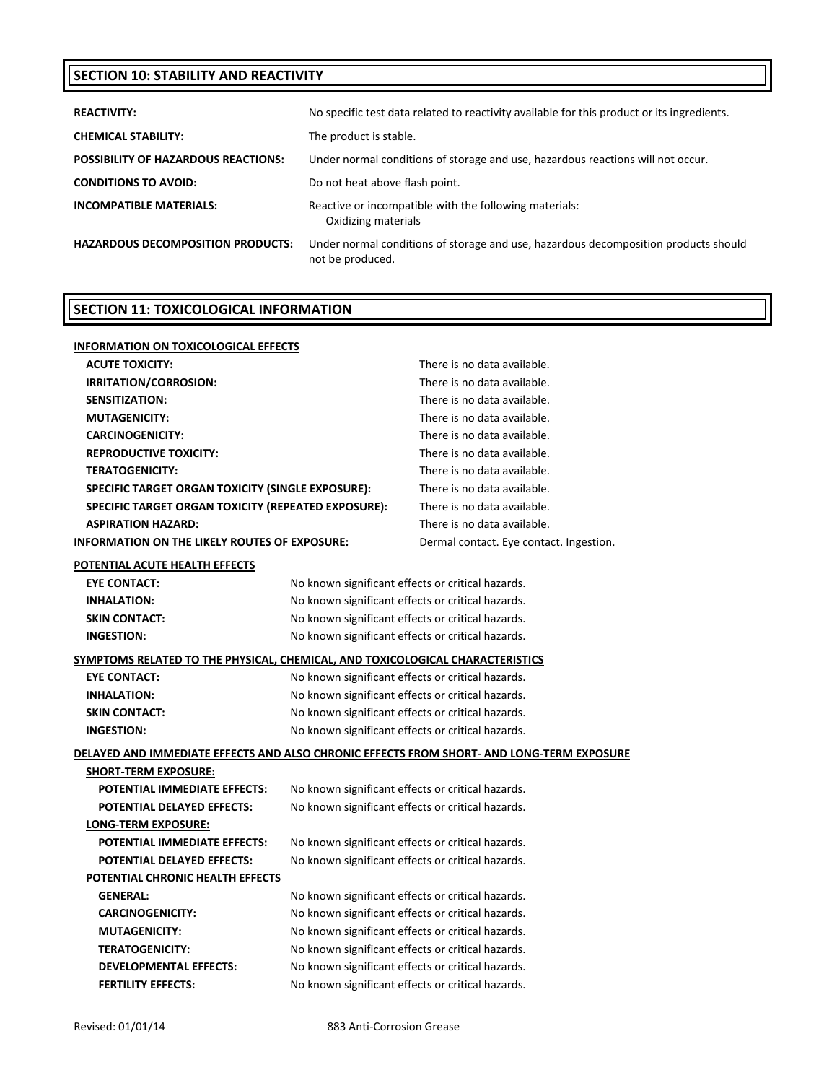### **SECTION 10: STABILITY AND REACTIVITY**

| <b>REACTIVITY:</b>                         | No specific test data related to reactivity available for this product or its ingredients.              |
|--------------------------------------------|---------------------------------------------------------------------------------------------------------|
| <b>CHEMICAL STABILITY:</b>                 | The product is stable.                                                                                  |
| <b>POSSIBILITY OF HAZARDOUS REACTIONS:</b> | Under normal conditions of storage and use, hazardous reactions will not occur.                         |
| <b>CONDITIONS TO AVOID:</b>                | Do not heat above flash point.                                                                          |
| <b>INCOMPATIBLE MATERIALS:</b>             | Reactive or incompatible with the following materials:<br>Oxidizing materials                           |
| <b>HAZARDOUS DECOMPOSITION PRODUCTS:</b>   | Under normal conditions of storage and use, hazardous decomposition products should<br>not be produced. |

### **SECTION 11: TOXICOLOGICAL INFORMATION**

| <b>INFORMATION ON TOXICOLOGICAL EFFECTS</b>                                   |                                                   |                                                                                           |  |
|-------------------------------------------------------------------------------|---------------------------------------------------|-------------------------------------------------------------------------------------------|--|
| <b>ACUTE TOXICITY:</b>                                                        |                                                   | There is no data available.                                                               |  |
| IRRITATION/CORROSION:                                                         |                                                   | There is no data available.                                                               |  |
| <b>SENSITIZATION:</b>                                                         |                                                   | There is no data available.                                                               |  |
| <b>MUTAGENICITY:</b>                                                          |                                                   | There is no data available.                                                               |  |
| <b>CARCINOGENICITY:</b>                                                       |                                                   | There is no data available.                                                               |  |
| <b>REPRODUCTIVE TOXICITY:</b>                                                 |                                                   | There is no data available.                                                               |  |
| <b>TERATOGENICITY:</b>                                                        |                                                   | There is no data available.                                                               |  |
| SPECIFIC TARGET ORGAN TOXICITY (SINGLE EXPOSURE):                             |                                                   | There is no data available.                                                               |  |
| SPECIFIC TARGET ORGAN TOXICITY (REPEATED EXPOSURE):                           |                                                   | There is no data available.                                                               |  |
| <b>ASPIRATION HAZARD:</b>                                                     |                                                   | There is no data available.                                                               |  |
| <b>INFORMATION ON THE LIKELY ROUTES OF EXPOSURE:</b>                          |                                                   | Dermal contact. Eye contact. Ingestion.                                                   |  |
| POTENTIAL ACUTE HEALTH EFFECTS                                                |                                                   |                                                                                           |  |
| <b>EYE CONTACT:</b>                                                           | No known significant effects or critical hazards. |                                                                                           |  |
| <b>INHALATION:</b>                                                            | No known significant effects or critical hazards. |                                                                                           |  |
| <b>SKIN CONTACT:</b>                                                          | No known significant effects or critical hazards. |                                                                                           |  |
| <b>INGESTION:</b>                                                             | No known significant effects or critical hazards. |                                                                                           |  |
| SYMPTOMS RELATED TO THE PHYSICAL, CHEMICAL, AND TOXICOLOGICAL CHARACTERISTICS |                                                   |                                                                                           |  |
| <b>EYE CONTACT:</b>                                                           | No known significant effects or critical hazards. |                                                                                           |  |
| <b>INHALATION:</b>                                                            | No known significant effects or critical hazards. |                                                                                           |  |
| <b>SKIN CONTACT:</b><br>No known significant effects or critical hazards.     |                                                   |                                                                                           |  |
| <b>INGESTION:</b>                                                             | No known significant effects or critical hazards. |                                                                                           |  |
|                                                                               |                                                   | DELAYED AND IMMEDIATE EFFECTS AND ALSO CHRONIC EFFECTS FROM SHORT- AND LONG-TERM EXPOSURE |  |
| <b>SHORT-TERM EXPOSURE:</b>                                                   |                                                   |                                                                                           |  |
| POTENTIAL IMMEDIATE EFFECTS:                                                  | No known significant effects or critical hazards. |                                                                                           |  |
| POTENTIAL DELAYED EFFECTS:                                                    | No known significant effects or critical hazards. |                                                                                           |  |
| LONG-TERM EXPOSURE:                                                           |                                                   |                                                                                           |  |
| POTENTIAL IMMEDIATE EFFECTS:                                                  | No known significant effects or critical hazards. |                                                                                           |  |
| <b>POTENTIAL DELAYED EFFECTS:</b>                                             | No known significant effects or critical hazards. |                                                                                           |  |
| POTENTIAL CHRONIC HEALTH EFFECTS                                              |                                                   |                                                                                           |  |
| <b>GENERAL:</b>                                                               | No known significant effects or critical hazards. |                                                                                           |  |
| <b>CARCINOGENICITY:</b>                                                       | No known significant effects or critical hazards. |                                                                                           |  |
| <b>MUTAGENICITY:</b>                                                          | No known significant effects or critical hazards. |                                                                                           |  |
| <b>TERATOGENICITY:</b>                                                        | No known significant effects or critical hazards. |                                                                                           |  |
| <b>DEVELOPMENTAL EFFECTS:</b>                                                 | No known significant effects or critical hazards. |                                                                                           |  |
| <b>FERTILITY EFFECTS:</b>                                                     | No known significant effects or critical hazards. |                                                                                           |  |
|                                                                               |                                                   |                                                                                           |  |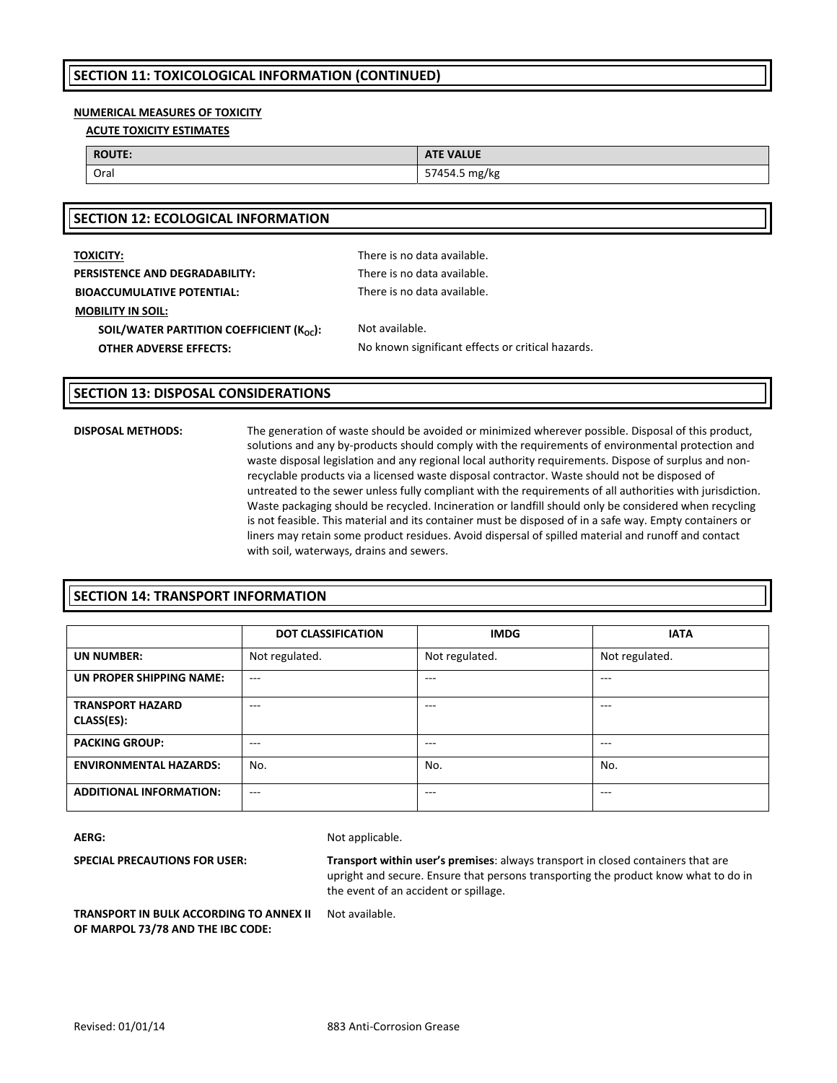#### **NUMERICAL MEASURES OF TOXICITY**

**ACUTE TOXICITY ESTIMATES**

| <b>ROUTE:</b> | <b>ATE VALUE</b>                         |
|---------------|------------------------------------------|
| Orai          | 574545<br>ma/ka<br><b>37434.3 HIRTKE</b> |

| <b>TOXICITY:</b>                                    | There is no data available.                       |
|-----------------------------------------------------|---------------------------------------------------|
| <b>PERSISTENCE AND DEGRADABILITY:</b>               | There is no data available.                       |
| <b>BIOACCUMULATIVE POTENTIAL:</b>                   | There is no data available.                       |
| <b>MOBILITY IN SOIL:</b>                            |                                                   |
| SOIL/WATER PARTITION COEFFICIENT $(K_{\alpha c})$ : | Not available.                                    |
| <b>OTHER ADVERSE EFFECTS:</b>                       | No known significant effects or critical hazards. |
|                                                     |                                                   |

#### **SECTION 13: DISPOSAL CONSIDERATIONS**

**SECTION 12: ECOLOGICAL INFORMATION**

**DISPOSAL METHODS:** The generation of waste should be avoided or minimized wherever possible. Disposal of this product, solutions and any by-products should comply with the requirements of environmental protection and waste disposal legislation and any regional local authority requirements. Dispose of surplus and nonrecyclable products via a licensed waste disposal contractor. Waste should not be disposed of untreated to the sewer unless fully compliant with the requirements of all authorities with jurisdiction. Waste packaging should be recycled. Incineration or landfill should only be considered when recycling is not feasible. This material and its container must be disposed of in a safe way. Empty containers or liners may retain some product residues. Avoid dispersal of spilled material and runoff and contact with soil, waterways, drains and sewers.

#### **SECTION 14: TRANSPORT INFORMATION**

|                                       | <b>DOT CLASSIFICATION</b> | <b>IMDG</b>    | <b>IATA</b>    |
|---------------------------------------|---------------------------|----------------|----------------|
| <b>UN NUMBER:</b>                     | Not regulated.            | Not regulated. | Not regulated. |
| UN PROPER SHIPPING NAME:              | $- - -$                   | $- - -$        | $---$          |
| <b>TRANSPORT HAZARD</b><br>CLASS(ES): | $- - -$                   | $- - -$        | $- - -$        |
| <b>PACKING GROUP:</b>                 | $- - -$                   | $- - -$        | $- - -$        |
| <b>ENVIRONMENTAL HAZARDS:</b>         | No.                       | No.            | No.            |
| <b>ADDITIONAL INFORMATION:</b>        | $- - -$                   | $- - -$        | $- - -$        |

AERG: Not applicable.

**SPECIAL PRECAUTIONS FOR USER: Transport within user's premises**: always transport in closed containers that are upright and secure. Ensure that persons transporting the product know what to do in the event of an accident or spillage.

**TRANSPORT IN BULK ACCORDING TO ANNEX II OF MARPOL 73/78 AND THE IBC CODE:**

Not available.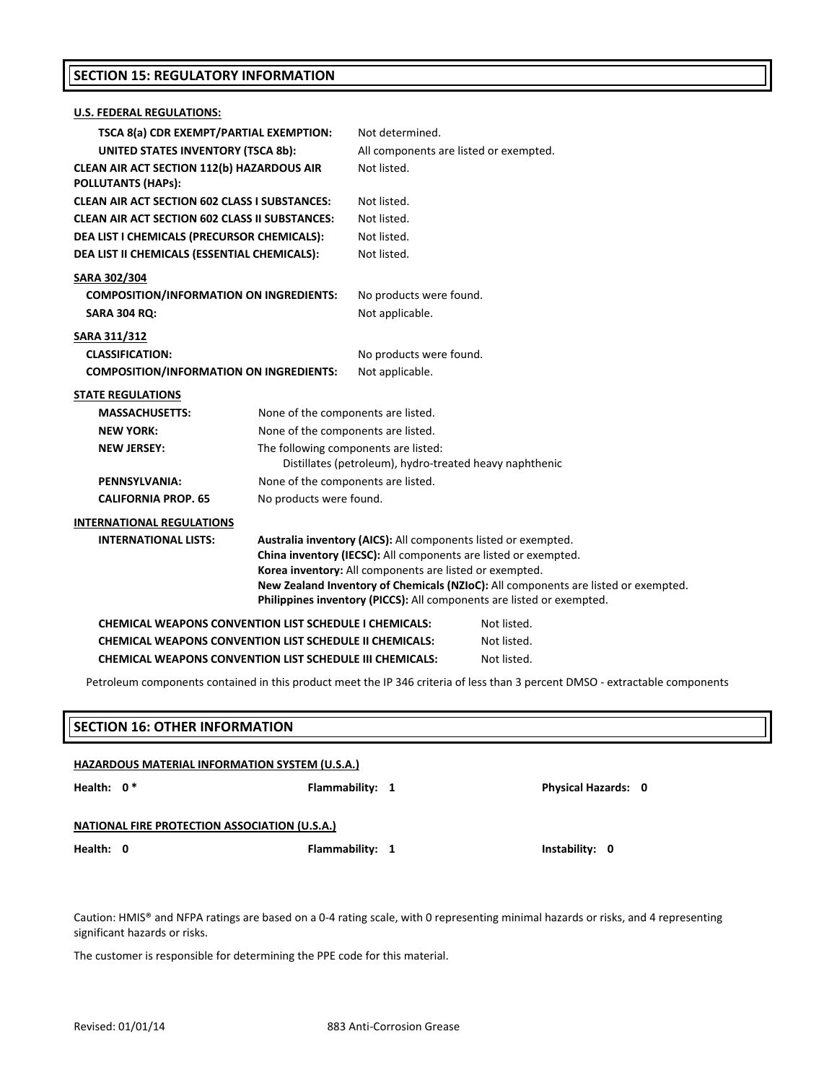#### **SECTION 15: REGULATORY INFORMATION**

| <b>U.S. FEDERAL REGULATIONS:</b>                                                                |                                                                                                                                                                                                                                                                                                                                                             |                                            |             |  |
|-------------------------------------------------------------------------------------------------|-------------------------------------------------------------------------------------------------------------------------------------------------------------------------------------------------------------------------------------------------------------------------------------------------------------------------------------------------------------|--------------------------------------------|-------------|--|
| TSCA 8(a) CDR EXEMPT/PARTIAL EXEMPTION:                                                         |                                                                                                                                                                                                                                                                                                                                                             | Not determined.                            |             |  |
| <b>UNITED STATES INVENTORY (TSCA 8b):</b>                                                       |                                                                                                                                                                                                                                                                                                                                                             | All components are listed or exempted.     |             |  |
| <b>CLEAN AIR ACT SECTION 112(b) HAZARDOUS AIR</b><br><b>POLLUTANTS (HAPs):</b>                  |                                                                                                                                                                                                                                                                                                                                                             | Not listed.                                |             |  |
| <b>CLEAN AIR ACT SECTION 602 CLASS I SUBSTANCES:</b>                                            |                                                                                                                                                                                                                                                                                                                                                             | Not listed.                                |             |  |
| <b>CLEAN AIR ACT SECTION 602 CLASS II SUBSTANCES:</b>                                           |                                                                                                                                                                                                                                                                                                                                                             | Not listed.                                |             |  |
| DEA LIST I CHEMICALS (PRECURSOR CHEMICALS):                                                     |                                                                                                                                                                                                                                                                                                                                                             | Not listed.                                |             |  |
| DEA LIST II CHEMICALS (ESSENTIAL CHEMICALS):                                                    |                                                                                                                                                                                                                                                                                                                                                             | Not listed.                                |             |  |
| SARA 302/304<br><b>COMPOSITION/INFORMATION ON INGREDIENTS:</b><br><b>SARA 304 RQ:</b>           |                                                                                                                                                                                                                                                                                                                                                             | No products were found.<br>Not applicable. |             |  |
| <b>SARA 311/312</b><br><b>CLASSIFICATION:</b><br><b>COMPOSITION/INFORMATION ON INGREDIENTS:</b> |                                                                                                                                                                                                                                                                                                                                                             | No products were found.<br>Not applicable. |             |  |
| <b>STATE REGULATIONS</b>                                                                        |                                                                                                                                                                                                                                                                                                                                                             |                                            |             |  |
| <b>MASSACHUSETTS:</b>                                                                           | None of the components are listed.                                                                                                                                                                                                                                                                                                                          |                                            |             |  |
| <b>NEW YORK:</b>                                                                                | None of the components are listed.                                                                                                                                                                                                                                                                                                                          |                                            |             |  |
| <b>NEW JERSEY:</b>                                                                              | The following components are listed:<br>Distillates (petroleum), hydro-treated heavy naphthenic                                                                                                                                                                                                                                                             |                                            |             |  |
| PENNSYLVANIA:                                                                                   | None of the components are listed.                                                                                                                                                                                                                                                                                                                          |                                            |             |  |
| <b>CALIFORNIA PROP. 65</b>                                                                      | No products were found.                                                                                                                                                                                                                                                                                                                                     |                                            |             |  |
| <b>INTERNATIONAL REGULATIONS</b>                                                                |                                                                                                                                                                                                                                                                                                                                                             |                                            |             |  |
| <b>INTERNATIONAL LISTS:</b>                                                                     | Australia inventory (AICS): All components listed or exempted.<br>China inventory (IECSC): All components are listed or exempted.<br>Korea inventory: All components are listed or exempted.<br>New Zealand Inventory of Chemicals (NZIoC): All components are listed or exempted.<br>Philippines inventory (PICCS): All components are listed or exempted. |                                            |             |  |
| <b>CHEMICAL WEAPONS CONVENTION LIST SCHEDULE I CHEMICALS:</b>                                   |                                                                                                                                                                                                                                                                                                                                                             |                                            | Not listed. |  |
| <b>CHEMICAL WEAPONS CONVENTION LIST SCHEDULE II CHEMICALS:</b>                                  |                                                                                                                                                                                                                                                                                                                                                             |                                            | Not listed. |  |
| <b>CHEMICAL WEAPONS CONVENTION LIST SCHEDULE III CHEMICALS:</b>                                 |                                                                                                                                                                                                                                                                                                                                                             |                                            | Not listed. |  |

Petroleum components contained in this product meet the IP 346 criteria of less than 3 percent DMSO ‐ extractable components

| <b>SECTION 16: OTHER INFORMATION</b>          |                                                       |                            |  |  |
|-----------------------------------------------|-------------------------------------------------------|----------------------------|--|--|
|                                               | <b>HAZARDOUS MATERIAL INFORMATION SYSTEM (U.S.A.)</b> |                            |  |  |
| Health: $0*$                                  | Flammability: 1                                       | <b>Physical Hazards: 0</b> |  |  |
| NATIONAL FIRE PROTECTION ASSOCIATION (U.S.A.) |                                                       |                            |  |  |

**Health: 0 Flammability: 1 Instability: 0**

Caution: HMIS® and NFPA ratings are based on a 0‐4 rating scale, with 0 representing minimal hazards or risks, and 4 representing significant hazards or risks.

The customer is responsible for determining the PPE code for this material.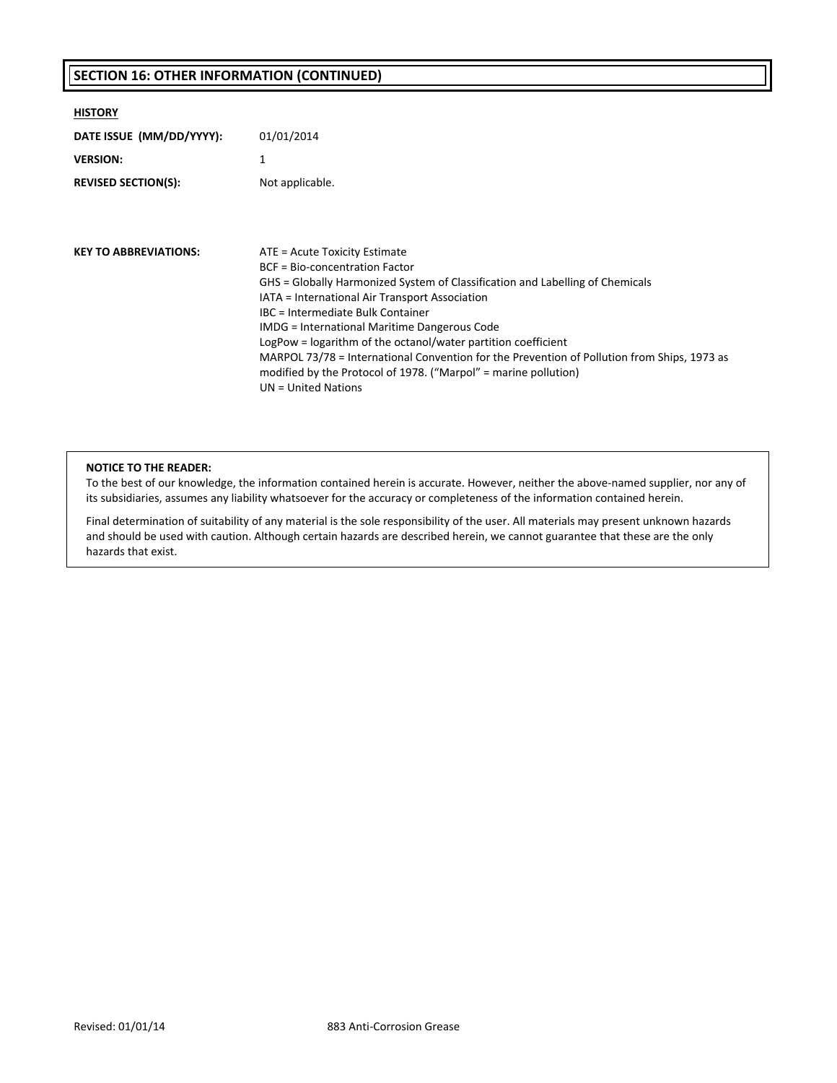#### **SECTION 16: OTHER INFORMATION (CONTINUED)**

| <b>HISTORY</b>               |                                                                                                                                                              |
|------------------------------|--------------------------------------------------------------------------------------------------------------------------------------------------------------|
| DATE ISSUE (MM/DD/YYYY):     | 01/01/2014                                                                                                                                                   |
| <b>VERSION:</b>              | 1                                                                                                                                                            |
| <b>REVISED SECTION(S):</b>   | Not applicable.                                                                                                                                              |
|                              |                                                                                                                                                              |
|                              |                                                                                                                                                              |
| <b>KEY TO ABBREVIATIONS:</b> | ATE = Acute Toxicity Estimate                                                                                                                                |
|                              | BCF = Bio-concentration Factor                                                                                                                               |
|                              | GHS = Globally Harmonized System of Classification and Labelling of Chemicals                                                                                |
|                              | IATA = International Air Transport Association                                                                                                               |
|                              | IBC = Intermediate Bulk Container                                                                                                                            |
|                              | IMDG = International Maritime Dangerous Code                                                                                                                 |
|                              | LogPow = logarithm of the octanol/water partition coefficient<br>MARPOL 73/78 = International Convention for the Prevention of Pollution from Ships, 1973 as |
|                              | modified by the Protocol of 1978. ("Marpol" = marine pollution)                                                                                              |
|                              | $UN = United Nations$                                                                                                                                        |
|                              |                                                                                                                                                              |

#### **NOTICE TO THE READER:**

To the best of our knowledge, the information contained herein is accurate. However, neither the above‐named supplier, nor any of its subsidiaries, assumes any liability whatsoever for the accuracy or completeness of the information contained herein.

Final determination of suitability of any material is the sole responsibility of the user. All materials may present unknown hazards and should be used with caution. Although certain hazards are described herein, we cannot guarantee that these are the only hazards that exist.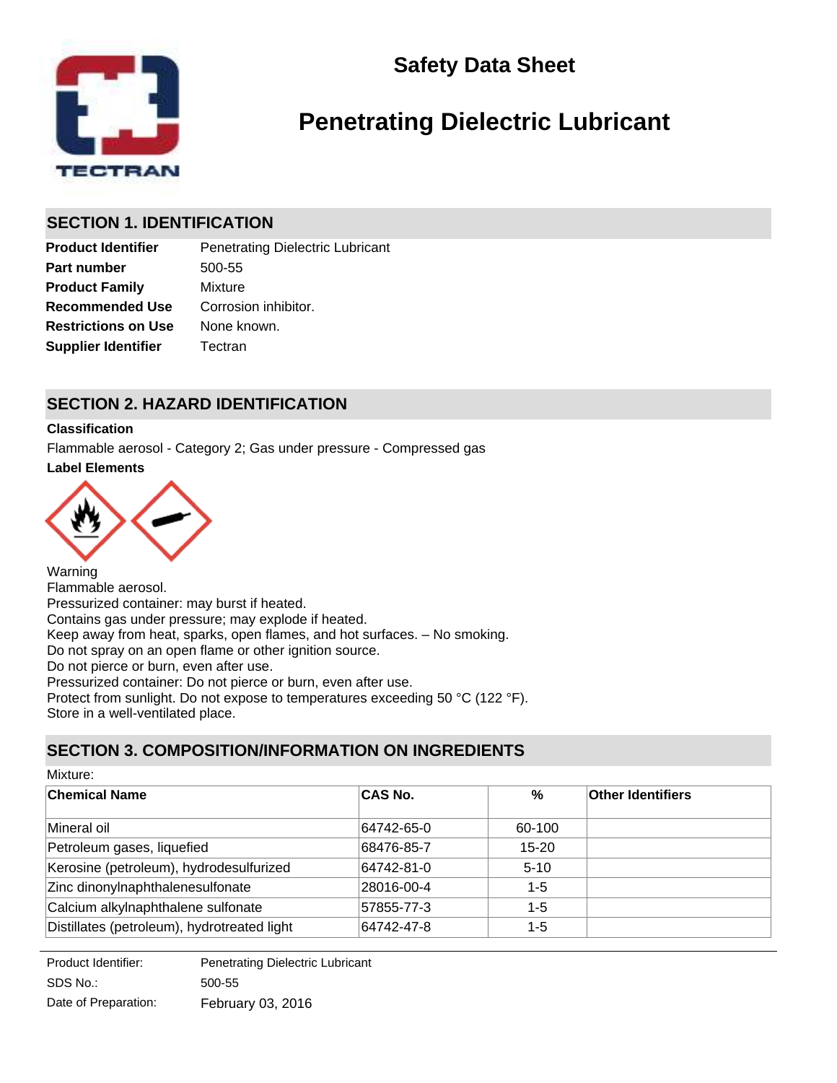



# **Penetrating Dielectric Lubricant**

### **SECTION 1. IDENTIFICATION**

**Product Identifier** Penetrating Dielectric Lubricant **Part number** 500-55 **Recommended Use Product Family** Mixture **Supplier Identifier Tectran** Corrosion inhibitor. **Restrictions on Use** None known.

### **SECTION 2. HAZARD IDENTIFICATION**

#### **Classification**

**Label Elements** Flammable aerosol - Category 2; Gas under pressure - Compressed gas



Warning Flammable aerosol. Pressurized container: may burst if heated. Contains gas under pressure; may explode if heated. Keep away from heat, sparks, open flames, and hot surfaces. – No smoking. Do not spray on an open flame or other ignition source. Do not pierce or burn, even after use. Pressurized container: Do not pierce or burn, even after use. Protect from sunlight. Do not expose to temperatures exceeding 50 °C (122 °F). Store in a well-ventilated place.

### **SECTION 3. COMPOSITION/INFORMATION ON INGREDIENTS**

| Mixture:                                    |            |           |                          |  |
|---------------------------------------------|------------|-----------|--------------------------|--|
| <b>Chemical Name</b>                        | CAS No.    | %         | <b>Other Identifiers</b> |  |
| Mineral oil                                 | 64742-65-0 | 60-100    |                          |  |
| Petroleum gases, liquefied                  | 68476-85-7 | $15 - 20$ |                          |  |
| Kerosine (petroleum), hydrodesulfurized     | 64742-81-0 | $5 - 10$  |                          |  |
| Zinc dinonylnaphthalenesulfonate            | 28016-00-4 | $1 - 5$   |                          |  |
| Calcium alkylnaphthalene sulfonate          | 57855-77-3 | $1 - 5$   |                          |  |
| Distillates (petroleum), hydrotreated light | 64742-47-8 | $1 - 5$   |                          |  |

SDS No.: Date of Preparation: 500-55 February 03, 2016 Product Identifier: Penetrating Dielectric Lubricant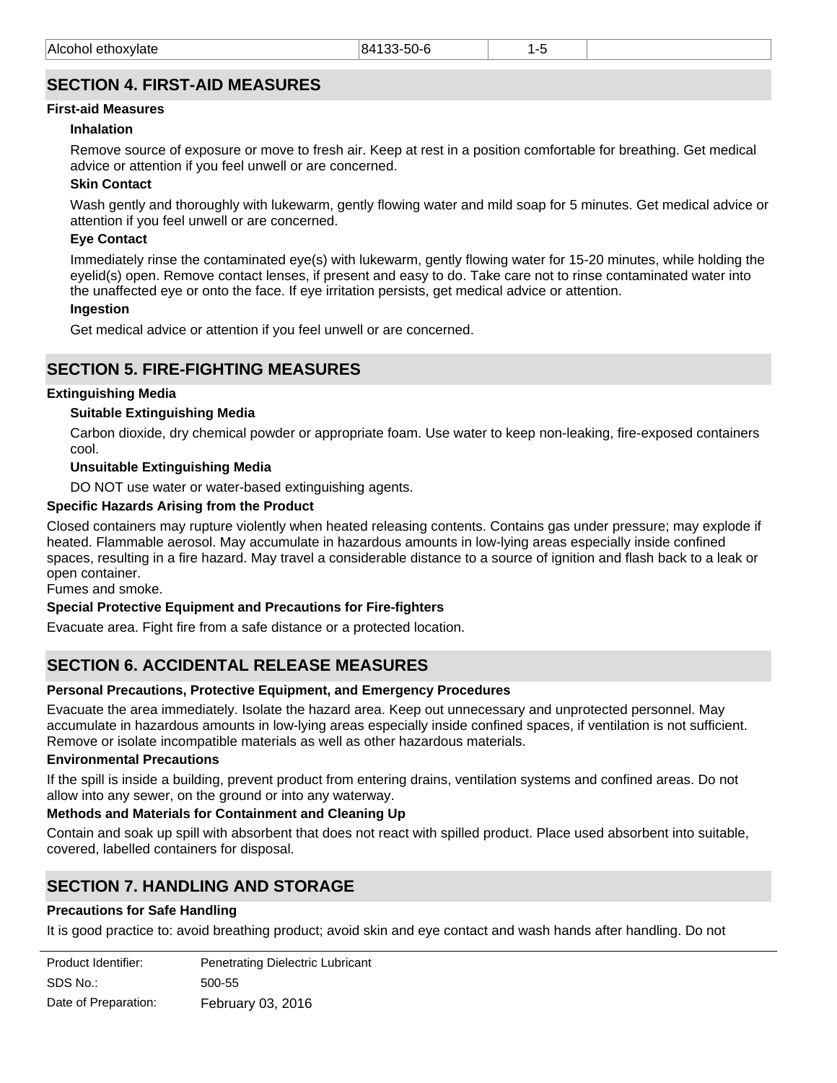### **SECTION 4. FIRST-AID MEASURES**

### **First-aid Measures**

### **Inhalation**

Remove source of exposure or move to fresh air. Keep at rest in a position comfortable for breathing. Get medical advice or attention if you feel unwell or are concerned.

### **Skin Contact**

Wash gently and thoroughly with lukewarm, gently flowing water and mild soap for 5 minutes. Get medical advice or attention if you feel unwell or are concerned.

### **Eye Contact**

Immediately rinse the contaminated eye(s) with lukewarm, gently flowing water for 15-20 minutes, while holding the eyelid(s) open. Remove contact lenses, if present and easy to do. Take care not to rinse contaminated water into the unaffected eye or onto the face. If eye irritation persists, get medical advice or attention.

#### **Ingestion**

Get medical advice or attention if you feel unwell or are concerned.

### **SECTION 5. FIRE-FIGHTING MEASURES**

#### **Extinguishing Media**

#### **Suitable Extinguishing Media**

Carbon dioxide, dry chemical powder or appropriate foam. Use water to keep non-leaking, fire-exposed containers cool.

#### **Unsuitable Extinguishing Media**

DO NOT use water or water-based extinguishing agents.

#### **Specific Hazards Arising from the Product**

Closed containers may rupture violently when heated releasing contents. Contains gas under pressure; may explode if heated. Flammable aerosol. May accumulate in hazardous amounts in low-lying areas especially inside confined spaces, resulting in a fire hazard. May travel a considerable distance to a source of ignition and flash back to a leak or open container.

Fumes and smoke.

#### **Special Protective Equipment and Precautions for Fire-fighters**

Evacuate area. Fight fire from a safe distance or a protected location.

### **SECTION 6. ACCIDENTAL RELEASE MEASURES**

#### **Personal Precautions, Protective Equipment, and Emergency Procedures**

Evacuate the area immediately. Isolate the hazard area. Keep out unnecessary and unprotected personnel. May accumulate in hazardous amounts in low-lying areas especially inside confined spaces, if ventilation is not sufficient. Remove or isolate incompatible materials as well as other hazardous materials.

#### **Environmental Precautions**

If the spill is inside a building, prevent product from entering drains, ventilation systems and confined areas. Do not allow into any sewer, on the ground or into any waterway.

#### **Methods and Materials for Containment and Cleaning Up**

Contain and soak up spill with absorbent that does not react with spilled product. Place used absorbent into suitable, covered, labelled containers for disposal.

### **SECTION 7. HANDLING AND STORAGE**

#### **Precautions for Safe Handling**

It is good practice to: avoid breathing product; avoid skin and eye contact and wash hands after handling. Do not puncture or incinerate container even when empty. Do not spray on an open flame or other ignition source. Do not

| Product Identifier:  | Penetrating Dielectric Lubricant |
|----------------------|----------------------------------|
| SDS No.:             | 500-55                           |
| Date of Preparation: | February 03, 2016                |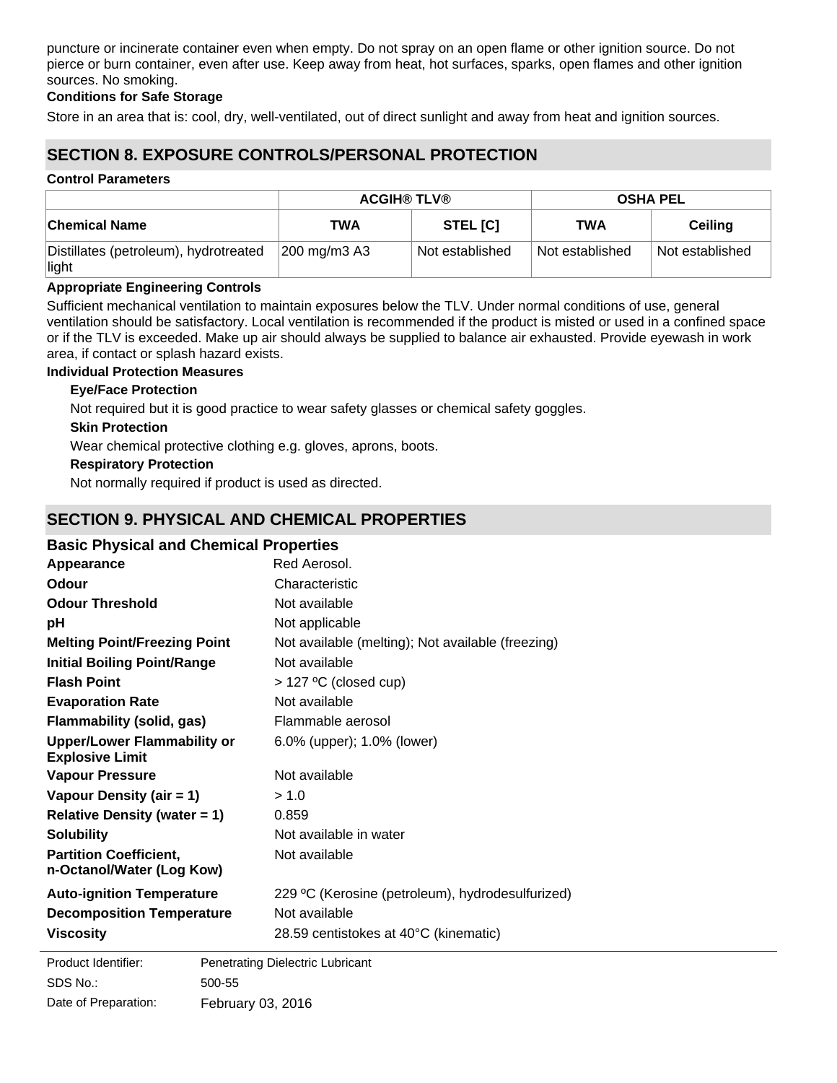puncture or incinerate container even when empty. Do not spray on an open flame or other ignition source. Do not pierce or burn container, even after use. Keep away from heat, hot surfaces, sparks, open flames and other ignition sources. No smoking.

#### **Conditions for Safe Storage**

Store in an area that is: cool, dry, well-ventilated, out of direct sunlight and away from heat and ignition sources.

### **SECTION 8. EXPOSURE CONTROLS/PERSONAL PROTECTION**

#### **Control Parameters**

|                                                | <b>ACGIH® TLV®</b> |                 | <b>OSHA PEL</b> |                 |
|------------------------------------------------|--------------------|-----------------|-----------------|-----------------|
| <b>Chemical Name</b>                           | <b>TWA</b>         | <b>STEL [C]</b> | TWA             | Ceiling         |
| Distillates (petroleum), hydrotreated<br>light | 200 mg/m3 A3       | Not established | Not established | Not established |

#### **Appropriate Engineering Controls**

Sufficient mechanical ventilation to maintain exposures below the TLV. Under normal conditions of use, general ventilation should be satisfactory. Local ventilation is recommended if the product is misted or used in a confined space or if the TLV is exceeded. Make up air should always be supplied to balance air exhausted. Provide eyewash in work area, if contact or splash hazard exists.

#### **Individual Protection Measures**

#### **Eye/Face Protection**

Not required but it is good practice to wear safety glasses or chemical safety goggles.

#### **Skin Protection**

Wear chemical protective clothing e.g. gloves, aprons, boots.

#### **Respiratory Protection**

Not normally required if product is used as directed.

### **SECTION 9. PHYSICAL AND CHEMICAL PROPERTIES**

#### **Basic Physical and Chemical Properties**

| Appearance                                                   | Red Aerosol.                                      |
|--------------------------------------------------------------|---------------------------------------------------|
| Odour                                                        | Characteristic                                    |
| <b>Odour Threshold</b>                                       | Not available                                     |
| рH                                                           | Not applicable                                    |
| <b>Melting Point/Freezing Point</b>                          | Not available (melting); Not available (freezing) |
| <b>Initial Boiling Point/Range</b>                           | Not available                                     |
| <b>Flash Point</b>                                           | $>$ 127 °C (closed cup)                           |
| <b>Evaporation Rate</b>                                      | Not available                                     |
| <b>Flammability (solid, gas)</b>                             | Flammable aerosol                                 |
| <b>Upper/Lower Flammability or</b><br><b>Explosive Limit</b> | 6.0% (upper); 1.0% (lower)                        |
| <b>Vapour Pressure</b>                                       | Not available                                     |
| Vapour Density (air $= 1$ )                                  | > 1.0                                             |
| <b>Relative Density (water = 1)</b>                          | 0.859                                             |
| <b>Solubility</b>                                            | Not available in water                            |
| <b>Partition Coefficient,</b><br>n-Octanol/Water (Log Kow)   | Not available                                     |
| <b>Auto-ignition Temperature</b>                             | 229 °C (Kerosine (petroleum), hydrodesulfurized)  |
| <b>Decomposition Temperature</b>                             | Not available                                     |
| <b>Viscosity</b>                                             | 28.59 centistokes at 40°C (kinematic)             |
|                                                              |                                                   |

**Product Identifier:** SDS No.: Date of Preparation: 500-55 February 03, 2016 Penetrating Dielectric Lubricant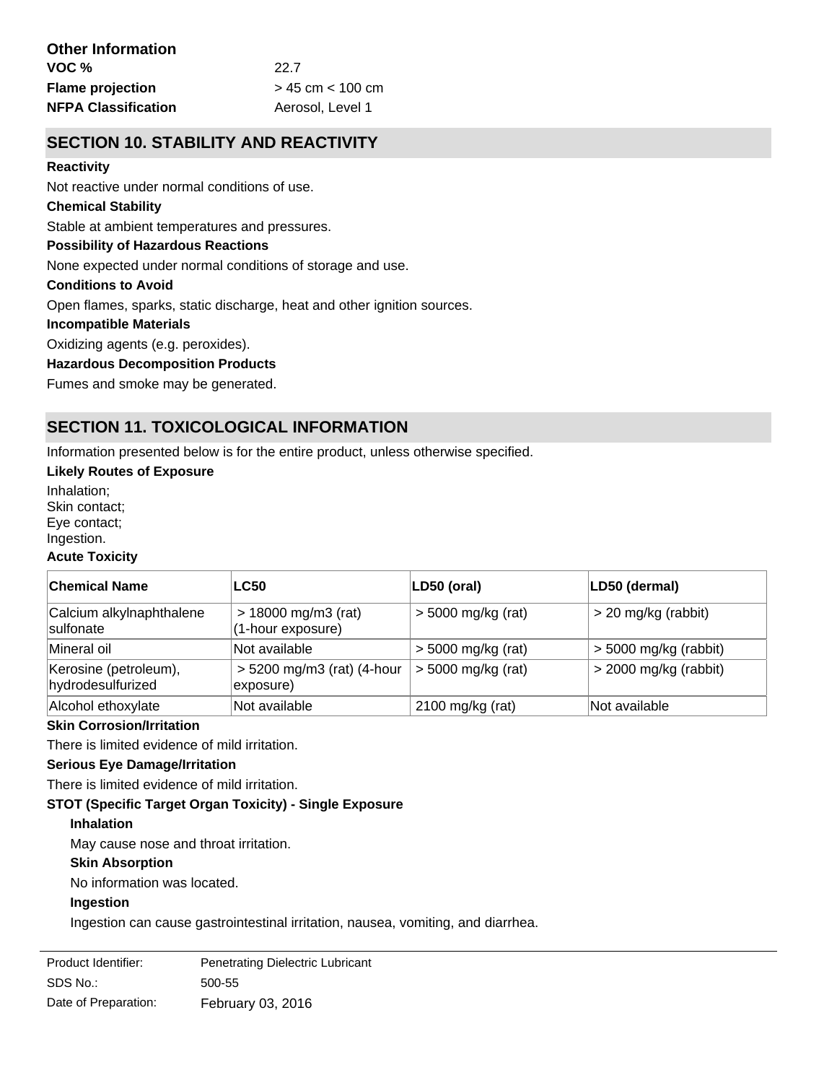### **SECTION 10. STABILITY AND REACTIVITY**

#### **Reactivity**

Not reactive under normal conditions of use.

#### **Chemical Stability**

Stable at ambient temperatures and pressures.

#### **Possibility of Hazardous Reactions**

None expected under normal conditions of storage and use.

#### **Conditions to Avoid**

Open flames, sparks, static discharge, heat and other ignition sources.

#### **Incompatible Materials**

Oxidizing agents (e.g. peroxides).

#### **Hazardous Decomposition Products**

Fumes and smoke may be generated.

### **SECTION 11. TOXICOLOGICAL INFORMATION**

Information presented below is for the entire product, unless otherwise specified.

#### **Likely Routes of Exposure**

Inhalation; Skin contact; Eye contact; Ingestion.

### **Acute Toxicity**

| <b>Chemical Name</b>                       | <b>LC50</b>                                | LD50 (oral)          | LD50 (dermal)           |
|--------------------------------------------|--------------------------------------------|----------------------|-------------------------|
| Calcium alkylnaphthalene<br>sulfonate      | $> 18000$ mg/m3 (rat)<br>(1-hour exposure) | $>$ 5000 mg/kg (rat) | $>$ 20 mg/kg (rabbit)   |
| Mineral oil                                | Not available                              | $> 5000$ mg/kg (rat) | $>$ 5000 mg/kg (rabbit) |
| Kerosine (petroleum),<br>hydrodesulfurized | $> 5200$ mg/m3 (rat) (4-hour<br>exposure)  | $> 5000$ mg/kg (rat) | $>$ 2000 mg/kg (rabbit) |
| Alcohol ethoxylate                         | Not available                              | $2100$ mg/kg (rat)   | Not available           |

#### **Skin Corrosion/Irritation**

There is limited evidence of mild irritation.

#### **Serious Eye Damage/Irritation**

There is limited evidence of mild irritation.

#### **STOT (Specific Target Organ Toxicity) - Single Exposure**

#### **Inhalation**

May cause nose and throat irritation.

#### **Skin Absorption**

No information was located.

#### **Ingestion**

Ingestion can cause gastrointestinal irritation, nausea, vomiting, and diarrhea.

| Product Identifier:  | <b>Penetrating Dielectric Lubricant</b> |
|----------------------|-----------------------------------------|
| SDS No.:             | 500-55                                  |
| Date of Preparation: | February 03, 2016                       |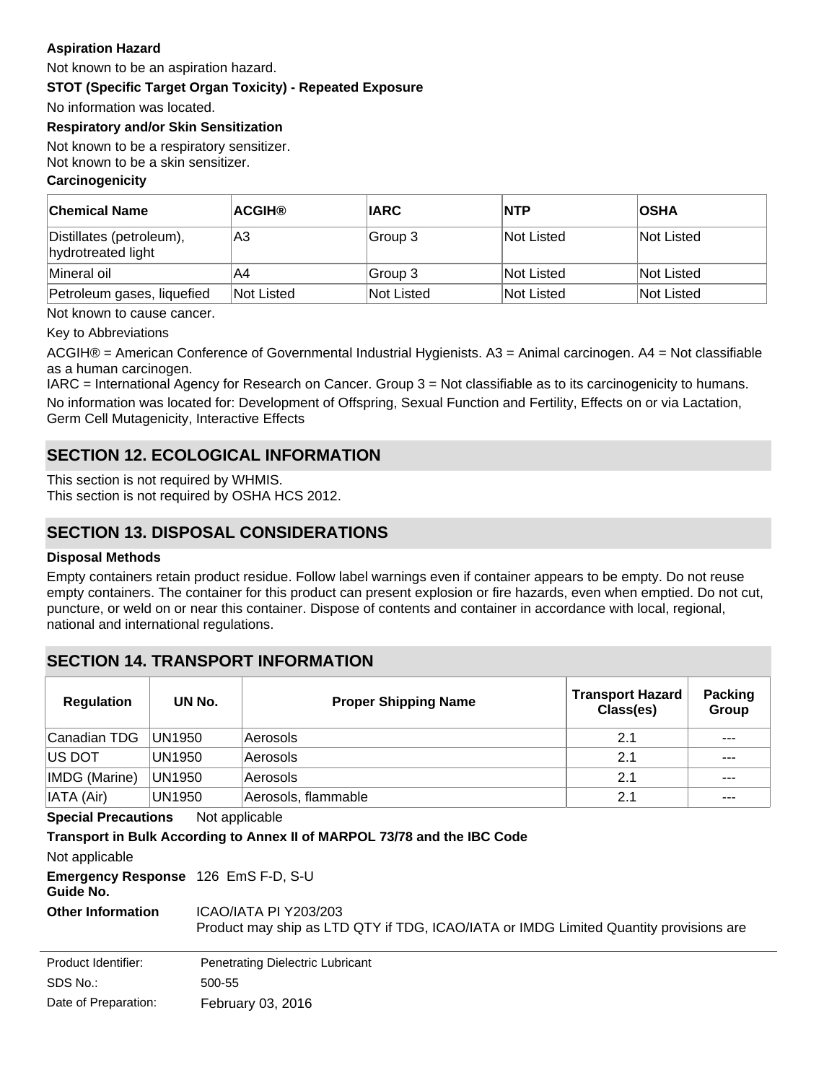#### **Aspiration Hazard**

Not known to be an aspiration hazard.

**STOT (Specific Target Organ Toxicity) - Repeated Exposure**

No information was located.

#### **Respiratory and/or Skin Sensitization**

Not known to be a respiratory sensitizer. Not known to be a skin sensitizer.

#### **Carcinogenicity**

| <b>Chemical Name</b>                           | <b>ACGIH®</b> | <b>IARC</b> | <b>NTP</b>        | <b>OSHA</b> |
|------------------------------------------------|---------------|-------------|-------------------|-------------|
| Distillates (petroleum),<br>hydrotreated light | A3            | Group 3     | Not Listed        | lNot Listed |
| Mineral oil                                    | A4            | Group 3     | <b>Not Listed</b> | Not Listed  |
| Petroleum gases, liquefied                     | Not Listed    | Not Listed  | Not Listed        | Not Listed  |

Not known to cause cancer.

Key to Abbreviations

ACGIH® = American Conference of Governmental Industrial Hygienists. A3 = Animal carcinogen. A4 = Not classifiable as a human carcinogen.

IARC = International Agency for Research on Cancer. Group 3 = Not classifiable as to its carcinogenicity to humans. No information was located for: Development of Offspring, Sexual Function and Fertility, Effects on or via Lactation, Germ Cell Mutagenicity, Interactive Effects

### **SECTION 12. ECOLOGICAL INFORMATION**

This section is not required by WHMIS. This section is not required by OSHA HCS 2012.

### **SECTION 13. DISPOSAL CONSIDERATIONS**

#### **Disposal Methods**

Empty containers retain product residue. Follow label warnings even if container appears to be empty. Do not reuse empty containers. The container for this product can present explosion or fire hazards, even when emptied. Do not cut, puncture, or weld on or near this container. Dispose of contents and container in accordance with local, regional, national and international regulations.

### **SECTION 14. TRANSPORT INFORMATION**

| <b>Regulation</b>                            | UN No.                              | <b>Proper Shipping Name</b>                                                                                    | <b>Transport Hazard</b><br>Class(es) | <b>Packing</b><br>Group |
|----------------------------------------------|-------------------------------------|----------------------------------------------------------------------------------------------------------------|--------------------------------------|-------------------------|
| Canadian TDG                                 | UN1950                              | Aerosols                                                                                                       | 2.1                                  | $- - -$                 |
| IUS DOT                                      | <b>UN1950</b>                       | Aerosols                                                                                                       | 2.1                                  | ---                     |
| IMDG (Marine)                                | UN1950                              | Aerosols                                                                                                       | 2.1                                  | ---                     |
| IATA (Air)                                   | UN1950                              | Aerosols, flammable                                                                                            | 2.1                                  | $- - -$                 |
| <b>Special Precautions</b><br>Not applicable |                                     |                                                                                                                |                                      |                         |
|                                              |                                     | Transport in Bulk According to Annex II of MARPOL 73/78 and the IBC Code                                       |                                      |                         |
| Not applicable                               |                                     |                                                                                                                |                                      |                         |
| Guide No.                                    | Emergency Response 126 EmS F-D, S-U |                                                                                                                |                                      |                         |
| <b>Other Information</b>                     |                                     | ICAO/IATA PI Y203/203<br>Product may ship as LTD QTY if TDG, ICAO/IATA or IMDG Limited Quantity provisions are |                                      |                         |

SDS No.: Date of Preparation: 500-55 February 03, 2016 Product Identifier: Penetrating Dielectric Lubricant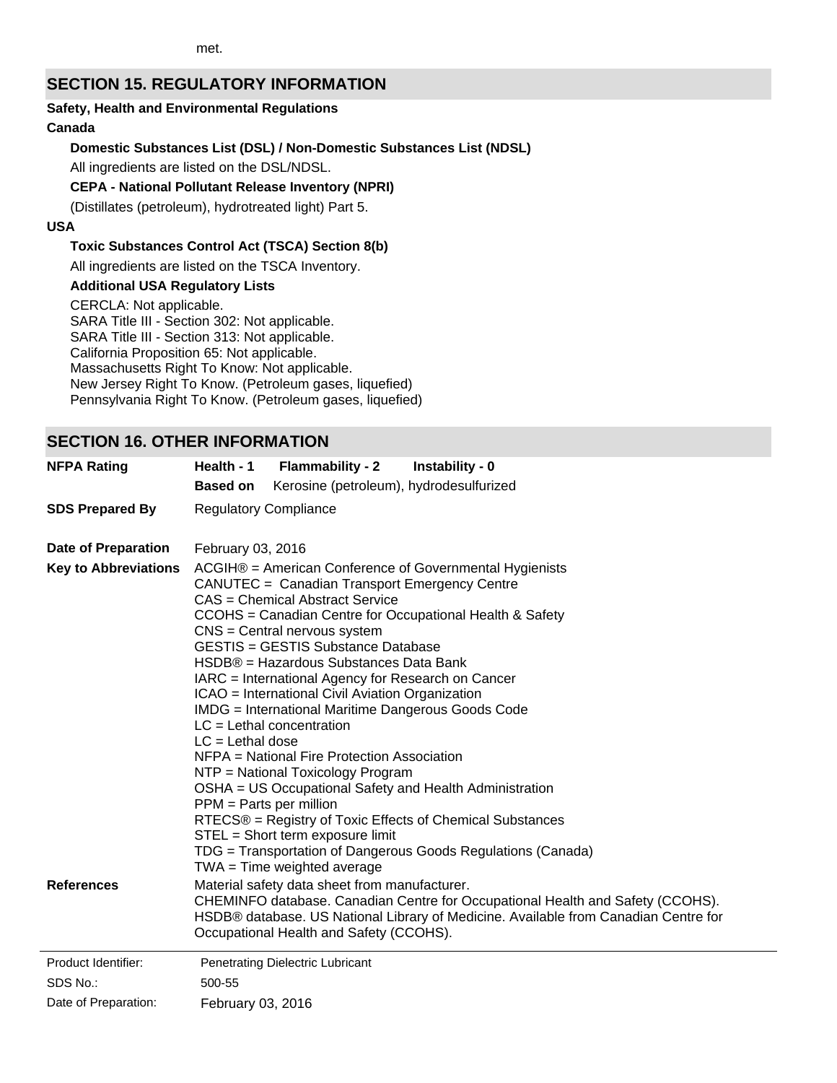### **SECTION 15. REGULATORY INFORMATION**

#### **Safety, Health and Environmental Regulations**

### **Canada**

### **Domestic Substances List (DSL) / Non-Domestic Substances List (NDSL)**

All ingredients are listed on the DSL/NDSL.

#### **CEPA - National Pollutant Release Inventory (NPRI)**

(Distillates (petroleum), hydrotreated light) Part 5.

#### **USA**

### **Toxic Substances Control Act (TSCA) Section 8(b)**

All ingredients are listed on the TSCA Inventory.

**Additional USA Regulatory Lists**

CERCLA: Not applicable. SARA Title III - Section 302: Not applicable. SARA Title III - Section 313: Not applicable. California Proposition 65: Not applicable. Massachusetts Right To Know: Not applicable. New Jersey Right To Know. (Petroleum gases, liquefied) Pennsylvania Right To Know. (Petroleum gases, liquefied)

### **SECTION 16. OTHER INFORMATION**

| <b>NFPA Rating</b>                               | Health - 1<br><b>Flammability - 2</b>                                                                                                                                                                                                                                                                                                                                                                                                                                                                                                                                                                                                                                                                                                                                                                                                                                                                                                                                                | Instability - 0                                                                                                                                                       |  |
|--------------------------------------------------|--------------------------------------------------------------------------------------------------------------------------------------------------------------------------------------------------------------------------------------------------------------------------------------------------------------------------------------------------------------------------------------------------------------------------------------------------------------------------------------------------------------------------------------------------------------------------------------------------------------------------------------------------------------------------------------------------------------------------------------------------------------------------------------------------------------------------------------------------------------------------------------------------------------------------------------------------------------------------------------|-----------------------------------------------------------------------------------------------------------------------------------------------------------------------|--|
|                                                  | Kerosine (petroleum), hydrodesulfurized<br><b>Based on</b>                                                                                                                                                                                                                                                                                                                                                                                                                                                                                                                                                                                                                                                                                                                                                                                                                                                                                                                           |                                                                                                                                                                       |  |
| <b>SDS Prepared By</b>                           | <b>Regulatory Compliance</b>                                                                                                                                                                                                                                                                                                                                                                                                                                                                                                                                                                                                                                                                                                                                                                                                                                                                                                                                                         |                                                                                                                                                                       |  |
| <b>Date of Preparation</b>                       | February 03, 2016                                                                                                                                                                                                                                                                                                                                                                                                                                                                                                                                                                                                                                                                                                                                                                                                                                                                                                                                                                    |                                                                                                                                                                       |  |
| <b>Key to Abbreviations</b><br><b>References</b> | ACGIH® = American Conference of Governmental Hygienists<br>CANUTEC = Canadian Transport Emergency Centre<br>CAS = Chemical Abstract Service<br>CCOHS = Canadian Centre for Occupational Health & Safety<br>$CNS = Central$ nervous system<br><b>GESTIS = GESTIS Substance Database</b><br>HSDB® = Hazardous Substances Data Bank<br>IARC = International Agency for Research on Cancer<br>ICAO = International Civil Aviation Organization<br>IMDG = International Maritime Dangerous Goods Code<br>$LC = Lethal concentration$<br>$LC = Lethal dose$<br>NFPA = National Fire Protection Association<br>NTP = National Toxicology Program<br>OSHA = US Occupational Safety and Health Administration<br>$PPM = Parts per million$<br>RTECS® = Registry of Toxic Effects of Chemical Substances<br>STEL = Short term exposure limit<br>TDG = Transportation of Dangerous Goods Regulations (Canada)<br>$TWA = Time weighted average$<br>Material safety data sheet from manufacturer. | CHEMINFO database. Canadian Centre for Occupational Health and Safety (CCOHS).<br>HSDB® database. US National Library of Medicine. Available from Canadian Centre for |  |
|                                                  | Occupational Health and Safety (CCOHS).                                                                                                                                                                                                                                                                                                                                                                                                                                                                                                                                                                                                                                                                                                                                                                                                                                                                                                                                              |                                                                                                                                                                       |  |
| Product Identifier:                              | Penetrating Dielectric Lubricant                                                                                                                                                                                                                                                                                                                                                                                                                                                                                                                                                                                                                                                                                                                                                                                                                                                                                                                                                     |                                                                                                                                                                       |  |
| SDS No.:                                         | 500-55                                                                                                                                                                                                                                                                                                                                                                                                                                                                                                                                                                                                                                                                                                                                                                                                                                                                                                                                                                               |                                                                                                                                                                       |  |
| Date of Preparation:                             | February 03, 2016                                                                                                                                                                                                                                                                                                                                                                                                                                                                                                                                                                                                                                                                                                                                                                                                                                                                                                                                                                    |                                                                                                                                                                       |  |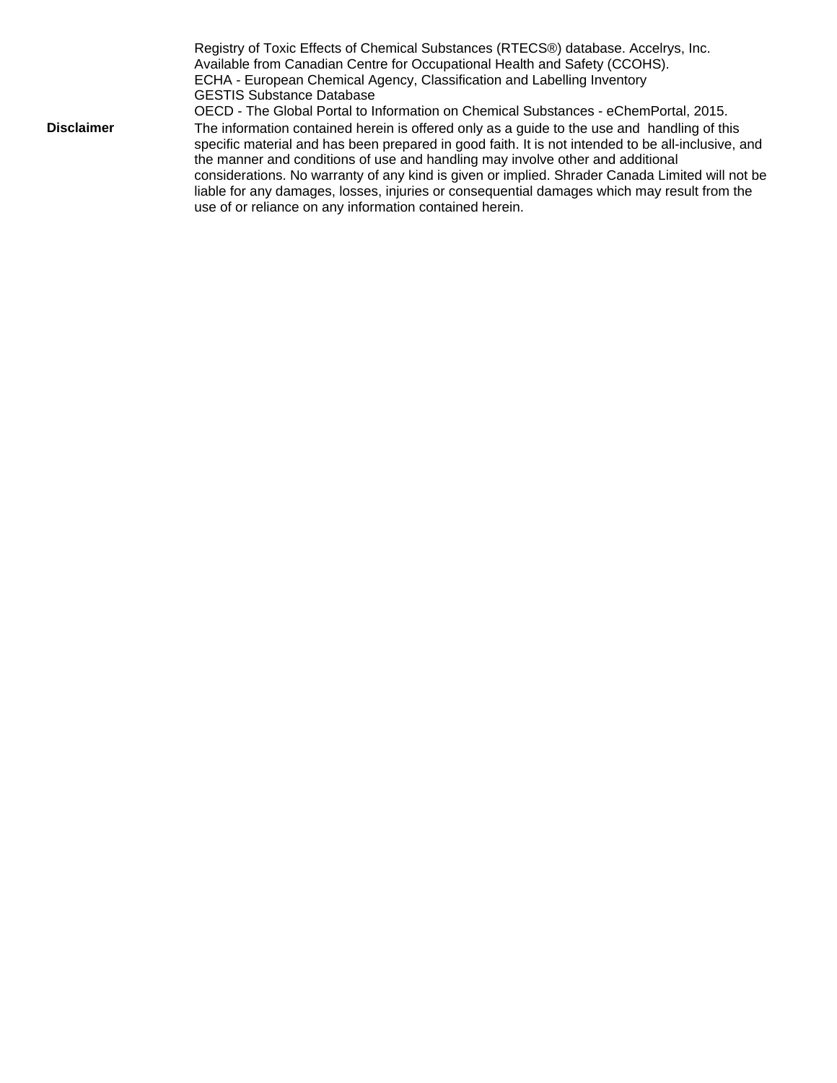Registry of Toxic Effects of Chemical Substances (RTECS®) database. Accelrys, Inc. Available from Canadian Centre for Occupational Health and Safety (CCOHS). ECHA - European Chemical Agency, Classification and Labelling Inventory GESTIS Substance Database OECD - The Global Portal to Information on Chemical Substances - eChemPortal, 2015. **Disclaimer** The information contained herein is offered only as a guide to the use and handling of this specific material and has been prepared in good faith. It is not intended to be all-inclusive, and the manner and conditions of use and handling may involve other and additional considerations. No warranty of any kind is given or implied. Shrader Canada Limited will not be liable for any damages, losses, injuries or consequential damages which may result from the use of or reliance on any information contained herein.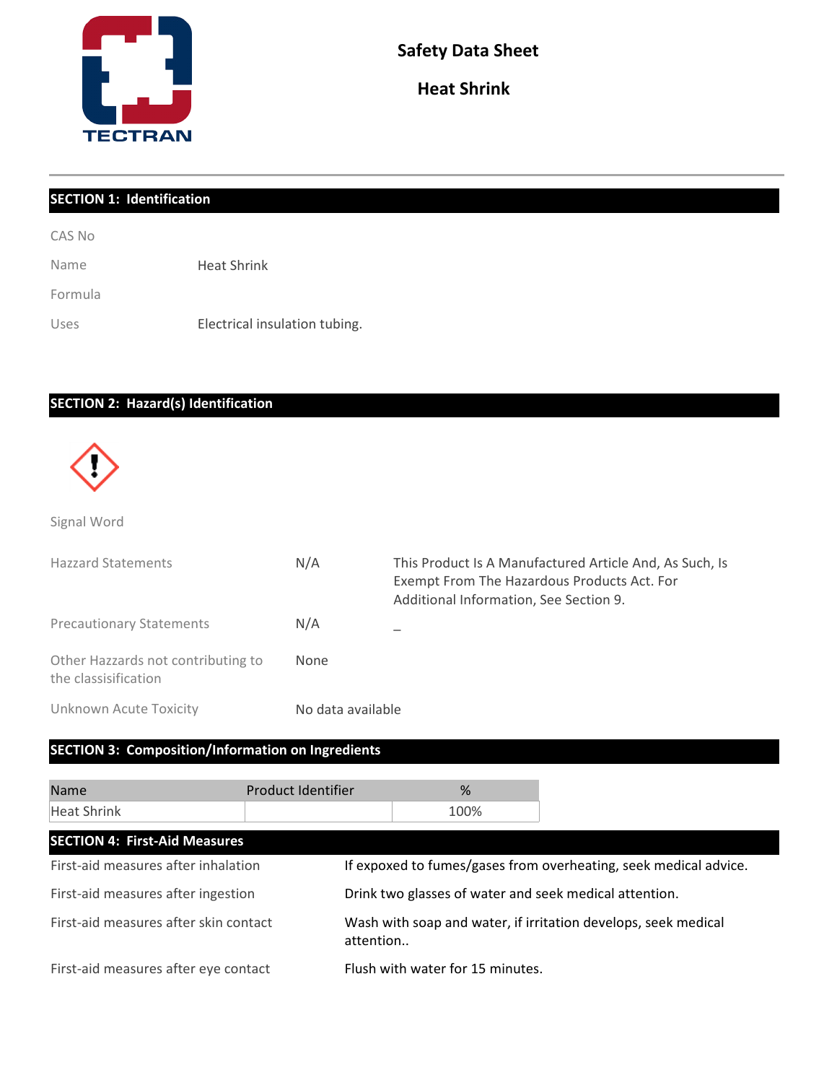

**Heat Shrink** 

| <b>SECTION 1: Identification</b> |                               |  |
|----------------------------------|-------------------------------|--|
| CAS No                           |                               |  |
| Name                             | <b>Heat Shrink</b>            |  |
| Formula                          |                               |  |
| Uses                             | Electrical insulation tubing. |  |

## **SECTION 2: Hazard(s) Identification**



Signal Word

| <b>Hazzard Statements</b>                                  | N/A               | This Product Is A Manufactured Article And, As Such, Is<br>Exempt From The Hazardous Products Act. For<br>Additional Information, See Section 9. |
|------------------------------------------------------------|-------------------|--------------------------------------------------------------------------------------------------------------------------------------------------|
| <b>Precautionary Statements</b>                            | N/A               |                                                                                                                                                  |
| Other Hazzards not contributing to<br>the classisification | None              |                                                                                                                                                  |
| Unknown Acute Toxicity                                     | No data available |                                                                                                                                                  |

### **SECTION 3: Composition/Information on Ingredients**

| <b>Name</b>                           | Product Identifier | %                                                      |                                                                  |
|---------------------------------------|--------------------|--------------------------------------------------------|------------------------------------------------------------------|
| Heat Shrink                           |                    | 100%                                                   |                                                                  |
| <b>SECTION 4: First-Aid Measures</b>  |                    |                                                        |                                                                  |
| First-aid measures after inhalation   |                    |                                                        | If expoxed to fumes/gases from overheating, seek medical advice. |
| First-aid measures after ingestion    |                    | Drink two glasses of water and seek medical attention. |                                                                  |
| First-aid measures after skin contact | attention          |                                                        | Wash with soap and water, if irritation develops, seek medical   |
| First-aid measures after eye contact  |                    | Flush with water for 15 minutes.                       |                                                                  |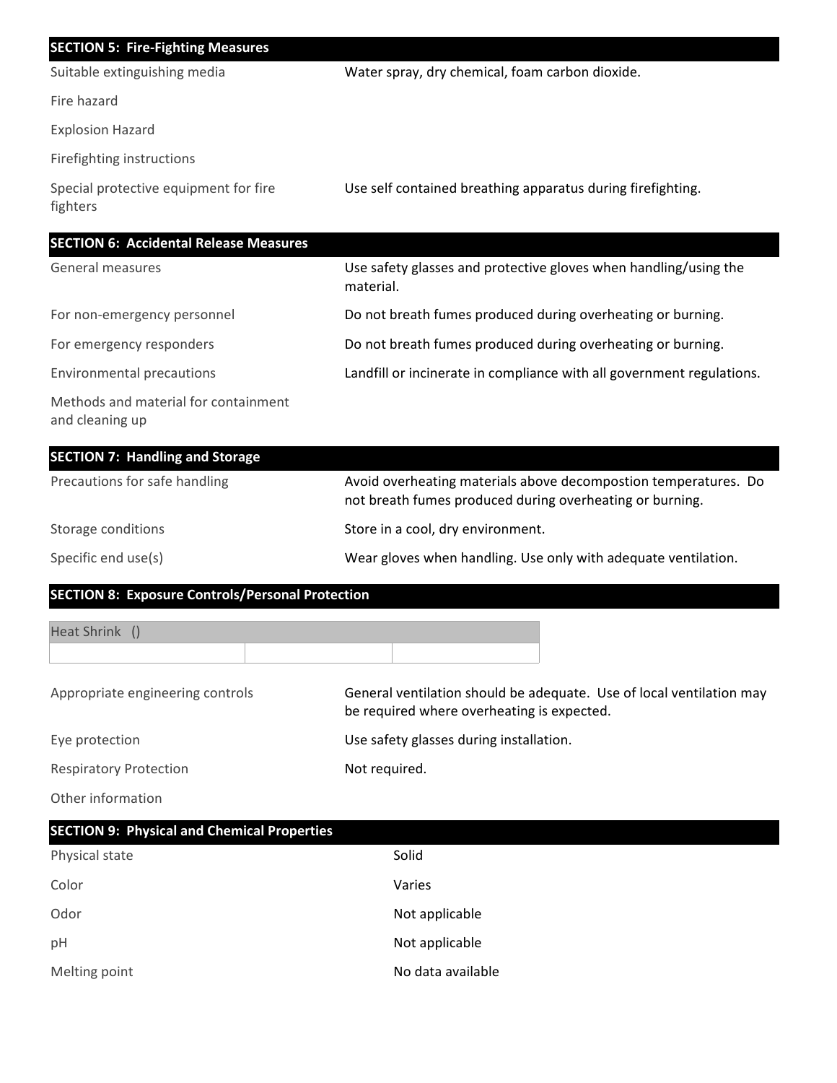| <b>SECTION 5: Fire-Fighting Measures</b>                |                                                                                                                             |  |
|---------------------------------------------------------|-----------------------------------------------------------------------------------------------------------------------------|--|
| Suitable extinguishing media                            | Water spray, dry chemical, foam carbon dioxide.                                                                             |  |
| Fire hazard                                             |                                                                                                                             |  |
| <b>Explosion Hazard</b>                                 |                                                                                                                             |  |
| Firefighting instructions                               |                                                                                                                             |  |
| Special protective equipment for fire<br>fighters       | Use self contained breathing apparatus during firefighting.                                                                 |  |
| <b>SECTION 6: Accidental Release Measures</b>           |                                                                                                                             |  |
| <b>General measures</b>                                 | Use safety glasses and protective gloves when handling/using the<br>material.                                               |  |
| For non-emergency personnel                             | Do not breath fumes produced during overheating or burning.                                                                 |  |
| For emergency responders                                | Do not breath fumes produced during overheating or burning.                                                                 |  |
| <b>Environmental precautions</b>                        | Landfill or incinerate in compliance with all government regulations.                                                       |  |
| Methods and material for containment<br>and cleaning up |                                                                                                                             |  |
| <b>SECTION 7: Handling and Storage</b>                  |                                                                                                                             |  |
| Precautions for safe handling                           | Avoid overheating materials above decompostion temperatures. Do<br>not breath fumes produced during overheating or burning. |  |
| Storage conditions                                      | Store in a cool, dry environment.                                                                                           |  |
| Specific end use(s)                                     | Wear gloves when handling. Use only with adequate ventilation.                                                              |  |
| <b>SECTION 8: Exposure Controls/Personal Protection</b> |                                                                                                                             |  |
| Heat Shrink ()                                          |                                                                                                                             |  |
| Appropriate engineering controls                        | General ventilation should be adequate. Use of local ventilation may<br>be required where overheating is expected.          |  |
| Eye protection                                          | Use safety glasses during installation.                                                                                     |  |
| <b>Respiratory Protection</b>                           | Not required.                                                                                                               |  |
| Other information                                       |                                                                                                                             |  |
| <b>SECTION 9: Physical and Chemical Properties</b>      |                                                                                                                             |  |
| Physical state                                          | Solid                                                                                                                       |  |
| Color                                                   | Varies                                                                                                                      |  |
| Odor                                                    | Not applicable                                                                                                              |  |
| pН                                                      | Not applicable                                                                                                              |  |

Melting point **No data available**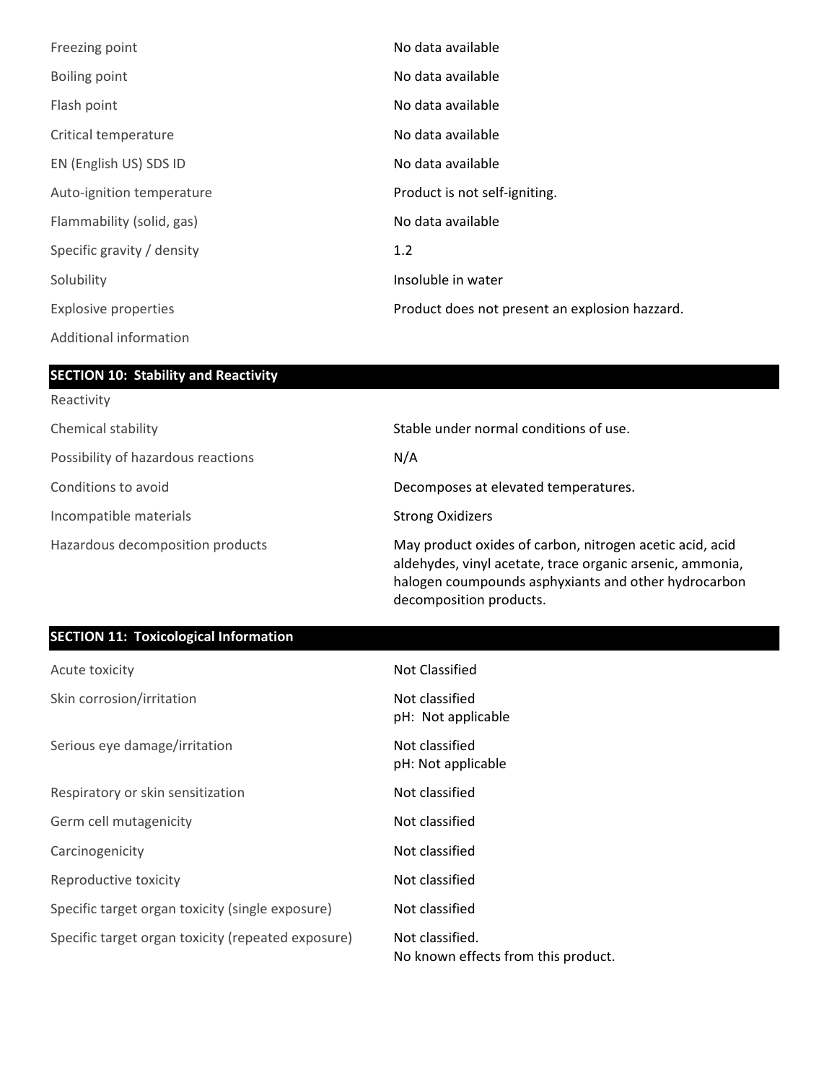| Freezing point              | No data available                              |
|-----------------------------|------------------------------------------------|
| Boiling point               | No data available                              |
| Flash point                 | No data available                              |
| Critical temperature        | No data available                              |
| EN (English US) SDS ID      | No data available                              |
| Auto-ignition temperature   | Product is not self-igniting.                  |
| Flammability (solid, gas)   | No data available                              |
| Specific gravity / density  | 1.2                                            |
| Solubility                  | Insoluble in water                             |
| <b>Explosive properties</b> | Product does not present an explosion hazzard. |
| Additional information      |                                                |

## **SECTION 10: Stability and Reactivity**

| Reactivity                         |                                                                                                                                                                                                          |
|------------------------------------|----------------------------------------------------------------------------------------------------------------------------------------------------------------------------------------------------------|
| Chemical stability                 | Stable under normal conditions of use.                                                                                                                                                                   |
| Possibility of hazardous reactions | N/A                                                                                                                                                                                                      |
| Conditions to avoid                | Decomposes at elevated temperatures.                                                                                                                                                                     |
| Incompatible materials             | <b>Strong Oxidizers</b>                                                                                                                                                                                  |
| Hazardous decomposition products   | May product oxides of carbon, nitrogen acetic acid, acid<br>aldehydes, vinyl acetate, trace organic arsenic, ammonia,<br>halogen coumpounds asphyxiants and other hydrocarbon<br>decomposition products. |

### **SECTION 11: Toxicological Information**

| Acute toxicity                                     | Not Classified                                         |
|----------------------------------------------------|--------------------------------------------------------|
| Skin corrosion/irritation                          | Not classified<br>pH: Not applicable                   |
| Serious eye damage/irritation                      | Not classified<br>pH: Not applicable                   |
| Respiratory or skin sensitization                  | Not classified                                         |
| Germ cell mutagenicity                             | Not classified                                         |
| Carcinogenicity                                    | Not classified                                         |
| Reproductive toxicity                              | Not classified                                         |
| Specific target organ toxicity (single exposure)   | Not classified                                         |
| Specific target organ toxicity (repeated exposure) | Not classified.<br>No known effects from this product. |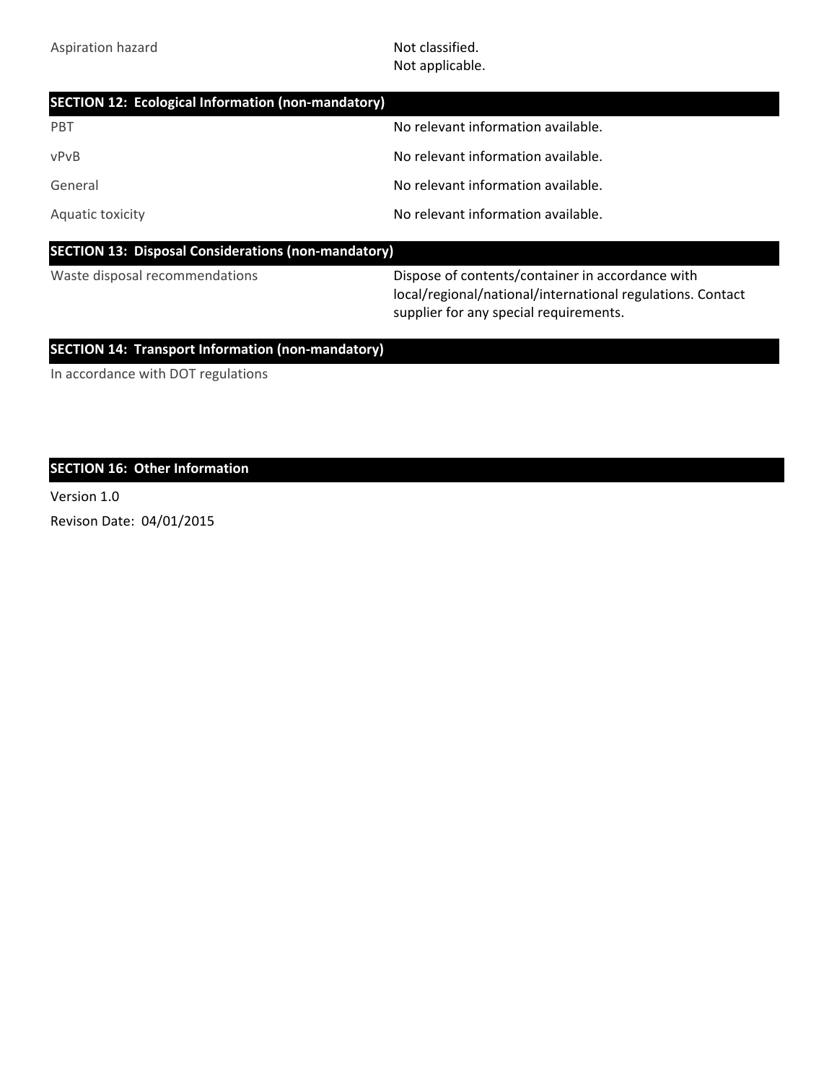Not applicable.

| <b>SECTION 12: Ecological Information (non-mandatory)</b>  |                                                  |
|------------------------------------------------------------|--------------------------------------------------|
| <b>PBT</b>                                                 | No relevant information available.               |
| vPvB                                                       | No relevant information available.               |
| General                                                    | No relevant information available.               |
| Aquatic toxicity                                           | No relevant information available.               |
| <b>SECTION 13: Disposal Considerations (non-mandatory)</b> |                                                  |
| Waste disposal recommendations                             | Dispase of contents/container in accordance with |

Waste disposal recommendations Dispose of contents/container in accordance with local/regional/national/international regulations. Contact supplier for any special requirements.

### **SECTION 14: Transport Information (non-mandatory)**

In accordance with DOT regulations

### **SECTION 16: Other Information**

Version 1.0

Revison Date: 04/01/2015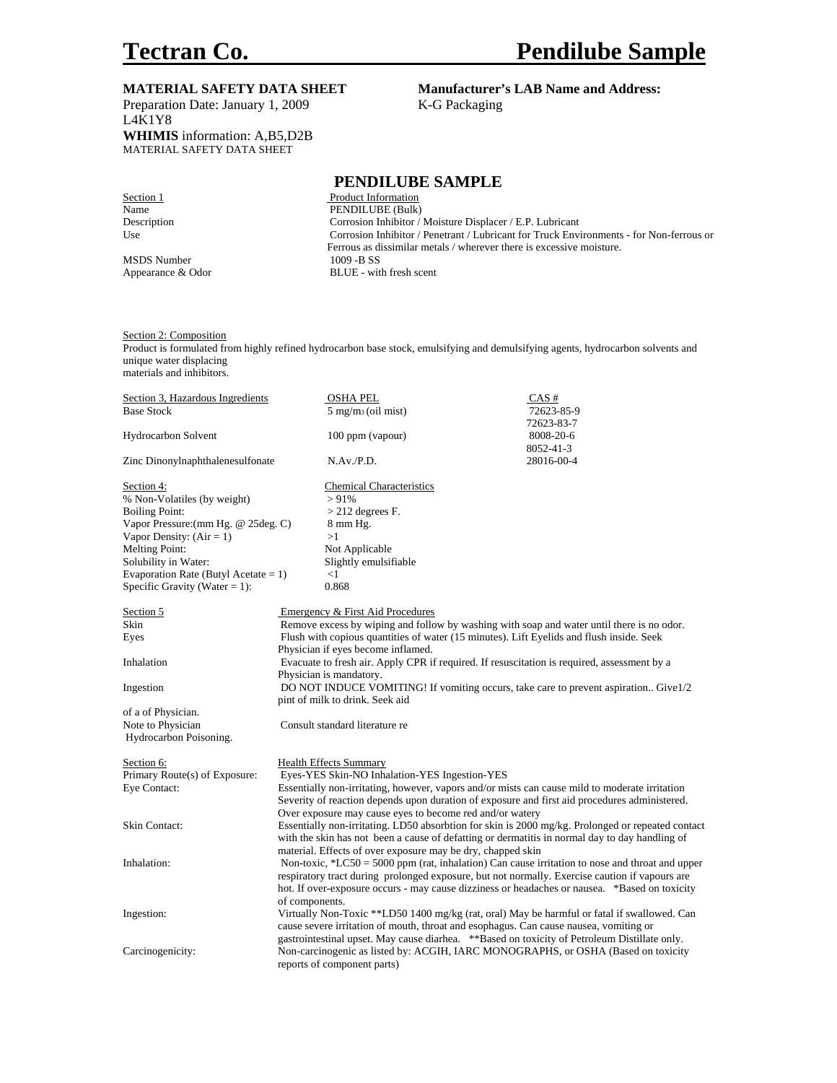Preparation Date: January 1, 2009 K-G Packaging L4K1Y8 **WHIMIS** information: A,B5,D2B MATERIAL SAFETY DATA SHEET

# **MATERIAL SAFETY DATA SHEET** Manufacturer's LAB Name and Address:

#### **PENDILUBE SAMPLE**

Section 1 Product Information Name PENDILUBE (Bulk) Description Corrosion Inhibitor / Moisture Displacer / E.P. Lubricant Use Corrosion Inhibitor / Penetrant / Lubricant for Truck Environments - for Non-ferrous or Ferrous as dissimilar metals / wherever there is excessive moisture. MSDS Number 1009 -B SS Appearance & Odor BLUE - with fresh scent

Section 2: Composition

Product is formulated from highly refined hydrocarbon base stock, emulsifying and demulsifying agents, hydrocarbon solvents and unique water displacing materials and inhibitors.

Section 3, Hazardous Ingredients OSHA PEL CAS # Base Stock 5 mg/m3 (oil mist) 72623-85-9 72623-83-7 Hydrocarbon Solvent 100 ppm (vapour) 8008-20-6 8052-41-3 Zinc Dinonylnaphthalenesulfonate N.Av./P.D. 28016-00-4 Section 4: Chemical Characteristics % Non-Volatiles (by weight)  $>91\%$ Boiling Point:  $>$  212 degrees F.<br>Vapor Pressure: (mm Hg. @ 25deg. C) 8 mm Hg. Vapor Pressure:  $(\text{mm Hg.} \ @$  25 deg. C) Vapor Density:  $(Air = 1)$  >1 Melting Point: Not Applicable Solubility in Water: Slightly emulsifiable Evaporation Rate (Butyl Acetate =  $1$ )  $<$ 1 Specific Gravity (Water = 1):  $0.868$ Section 5 Emergency & First Aid Procedures Skin Remove excess by wiping and follow by washing with soap and water until there is no odor. Eyes Flush with copious quantities of water (15 minutes). Lift Eyelids and flush inside. Seek Physician if eyes become inflamed. Inhalation Evacuate to fresh air. Apply CPR if required. If resuscitation is required, assessment by a Physician is mandatory. Ingestion DO NOT INDUCE VOMITING! If vomiting occurs, take care to prevent aspiration.. Give1/2 pint of milk to drink. Seek aid of a of Physician. Note to Physician Consult standard literature re Hydrocarbon Poisoning. Section 6: Health Effects Summary Primary Route(s) of Exposure: Eyes-YES Skin-NO Inhalation-YES Ingestion-YES Eye Contact: Essentially non-irritating, however, vapors and/or mists can cause mild to moderate irritation Severity of reaction depends upon duration of exposure and first aid procedures administered. Over exposure may cause eyes to become red and/or watery Skin Contact: Essentially non-irritating. LD50 absorbtion for skin is 2000 mg/kg. Prolonged or repeated contact with the skin has not been a cause of defatting or dermatitis in normal day to day handling of material. Effects of over exposure may be dry, chapped skin Inhalation: Non-toxic, \*LC50 = 5000 ppm (rat, inhalation) Can cause irritation to nose and throat and upper respiratory tract during prolonged exposure, but not normally. Exercise caution if vapours are hot. If over-exposure occurs - may cause dizziness or headaches or nausea. \*Based on toxicity of components. Ingestion: Virtually Non-Toxic \*\*LD50 1400 mg/kg (rat, oral) May be harmful or fatal if swallowed. Can cause severe irritation of mouth, throat and esophagus. Can cause nausea, vomiting or gastrointestinal upset. May cause diarhea. \*\*Based on toxicity of Petroleum Distillate only. Carcinogenicity: Non-carcinogenic as listed by: ACGIH, IARC MONOGRAPHS, or OSHA (Based on toxicity reports of component parts)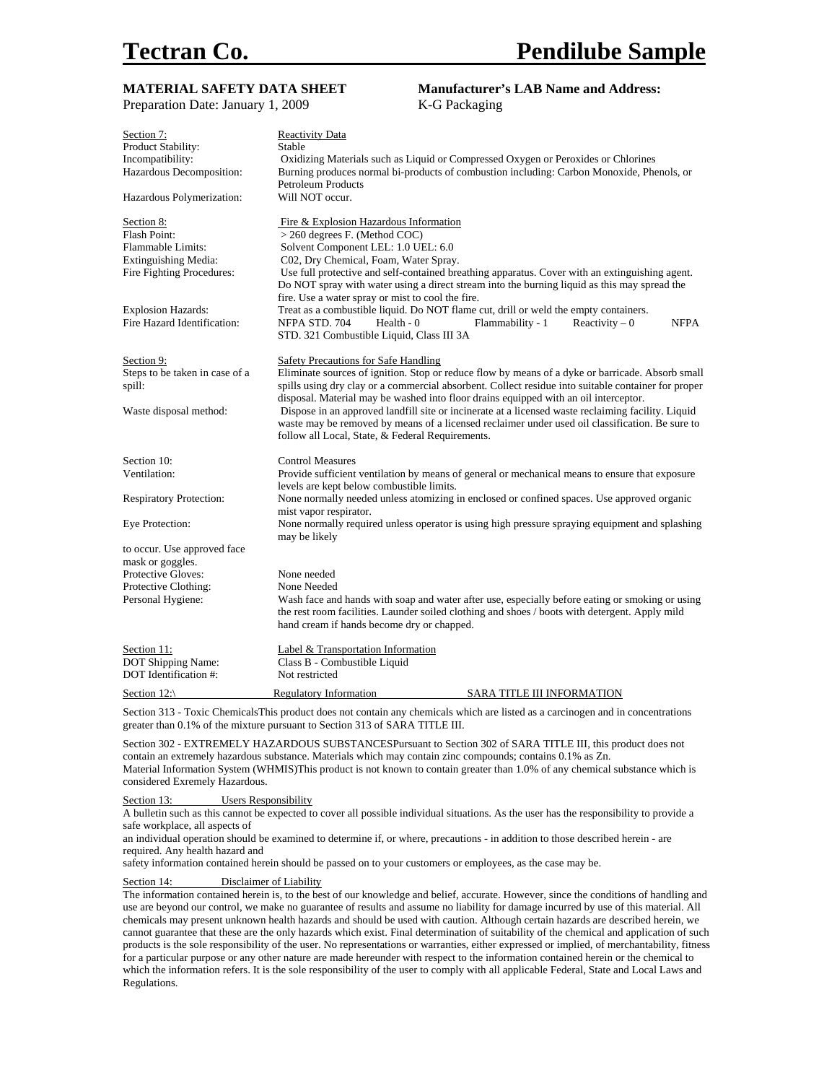| <b>MATERIAL SAFETY DATA SHEET</b> | <b>Manufacturer's LAB Name and Address:</b>                                                                                     |  |
|-----------------------------------|---------------------------------------------------------------------------------------------------------------------------------|--|
| Preparation Date: January 1, 2009 | K-G Packaging                                                                                                                   |  |
| Section 7:                        | Reactivity Data                                                                                                                 |  |
| Product Stability:                | Stable                                                                                                                          |  |
| Incompatibility:                  | Oxidizing Materials such as Liquid or Compressed Oxygen or Peroxides or Chlorines                                               |  |
| Hazardous Decomposition:          | Burning produces normal bi-products of combustion including: Carbon Monoxide, Phenols, or                                       |  |
|                                   | <b>Petroleum Products</b>                                                                                                       |  |
| Hazardous Polymerization:         | Will NOT occur.                                                                                                                 |  |
| Section 8:                        | Fire & Explosion Hazardous Information                                                                                          |  |
| <b>Flash Point:</b>               | > 260 degrees F. (Method COC)                                                                                                   |  |
| Flammable Limits:                 | Solvent Component LEL: 1.0 UEL: 6.0                                                                                             |  |
| Extinguishing Media:              | C02, Dry Chemical, Foam, Water Spray.                                                                                           |  |
| Fire Fighting Procedures:         | Use full protective and self-contained breathing apparatus. Cover with an extinguishing agent.                                  |  |
|                                   | Do NOT spray with water using a direct stream into the burning liquid as this may spread the                                    |  |
|                                   | fire. Use a water spray or mist to cool the fire.                                                                               |  |
| <b>Explosion Hazards:</b>         | Treat as a combustible liquid. Do NOT flame cut, drill or weld the empty containers.                                            |  |
| Fire Hazard Identification:       | NFPA STD. 704<br>Health $-0$<br>Flammability - 1<br>Reactivity $-0$<br><b>NFPA</b><br>STD. 321 Combustible Liquid, Class III 3A |  |
|                                   |                                                                                                                                 |  |
| Section 9:                        | Safety Precautions for Safe Handling                                                                                            |  |
| Steps to be taken in case of a    | Eliminate sources of ignition. Stop or reduce flow by means of a dyke or barricade. Absorb small                                |  |
| spill:                            | spills using dry clay or a commercial absorbent. Collect residue into suitable container for proper                             |  |
|                                   | disposal. Material may be washed into floor drains equipped with an oil interceptor.                                            |  |
| Waste disposal method:            | Dispose in an approved landfill site or incinerate at a licensed waste reclaiming facility. Liquid                              |  |
|                                   | waste may be removed by means of a licensed reclaimer under used oil classification. Be sure to                                 |  |
|                                   | follow all Local, State, & Federal Requirements.                                                                                |  |
| Section 10:                       | <b>Control Measures</b>                                                                                                         |  |
| Ventilation:                      | Provide sufficient ventilation by means of general or mechanical means to ensure that exposure                                  |  |
|                                   | levels are kept below combustible limits.                                                                                       |  |
| <b>Respiratory Protection:</b>    | None normally needed unless atomizing in enclosed or confined spaces. Use approved organic                                      |  |
|                                   | mist vapor respirator.                                                                                                          |  |
| Eye Protection:                   | None normally required unless operator is using high pressure spraying equipment and splashing                                  |  |
| to occur. Use approved face       | may be likely                                                                                                                   |  |
| mask or goggles.                  |                                                                                                                                 |  |
| Protective Gloves:                | None needed                                                                                                                     |  |
| Protective Clothing:              | None Needed                                                                                                                     |  |
| Personal Hygiene:                 | Wash face and hands with soap and water after use, especially before eating or smoking or using                                 |  |
|                                   | the rest room facilities. Launder soiled clothing and shoes / boots with detergent. Apply mild                                  |  |
|                                   | hand cream if hands become dry or chapped.                                                                                      |  |
| Section 11:                       | Label & Transportation Information                                                                                              |  |
| DOT Shipping Name:                | Class B - Combustible Liquid                                                                                                    |  |
| DOT Identification #:             | Not restricted                                                                                                                  |  |
| Section $12$ :                    | <b>Regulatory Information</b><br>SARA TITLE III INFORMATION                                                                     |  |
|                                   |                                                                                                                                 |  |

Section 313 - Toxic ChemicalsThis product does not contain any chemicals which are listed as a carcinogen and in concentrations greater than 0.1% of the mixture pursuant to Section 313 of SARA TITLE III.

Section 302 - EXTREMELY HAZARDOUS SUBSTANCESPursuant to Section 302 of SARA TITLE III, this product does not contain an extremely hazardous substance. Materials which may contain zinc compounds; contains 0.1% as Zn. Material Information System (WHMIS)This product is not known to contain greater than 1.0% of any chemical substance which is considered Exremely Hazardous.

Section 13: Users Responsibility

A bulletin such as this cannot be expected to cover all possible individual situations. As the user has the responsibility to provide a safe workplace, all aspects of

an individual operation should be examined to determine if, or where, precautions - in addition to those described herein - are required. Any health hazard and

safety information contained herein should be passed on to your customers or employees, as the case may be.

Section 14: Disclaimer of Liability

The information contained herein is, to the best of our knowledge and belief, accurate. However, since the conditions of handling and use are beyond our control, we make no guarantee of results and assume no liability for damage incurred by use of this material. All chemicals may present unknown health hazards and should be used with caution. Although certain hazards are described herein, we cannot guarantee that these are the only hazards which exist. Final determination of suitability of the chemical and application of such products is the sole responsibility of the user. No representations or warranties, either expressed or implied, of merchantability, fitness for a particular purpose or any other nature are made hereunder with respect to the information contained herein or the chemical to which the information refers. It is the sole responsibility of the user to comply with all applicable Federal, State and Local Laws and Regulations.